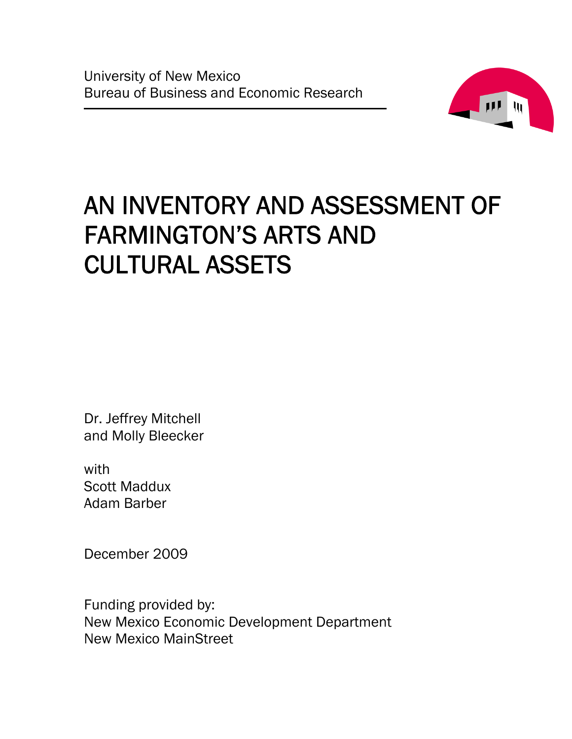

# AN INVENTORY AND ASSESSMENT OF FARMINGTON'S ARTS AND CULTURAL ASSETS

Dr. Jeffrey Mitchell and Molly Bleecker

with Scott Maddux Adam Barber

December 2009

Funding provided by: New Mexico Economic Development Department New Mexico MainStreet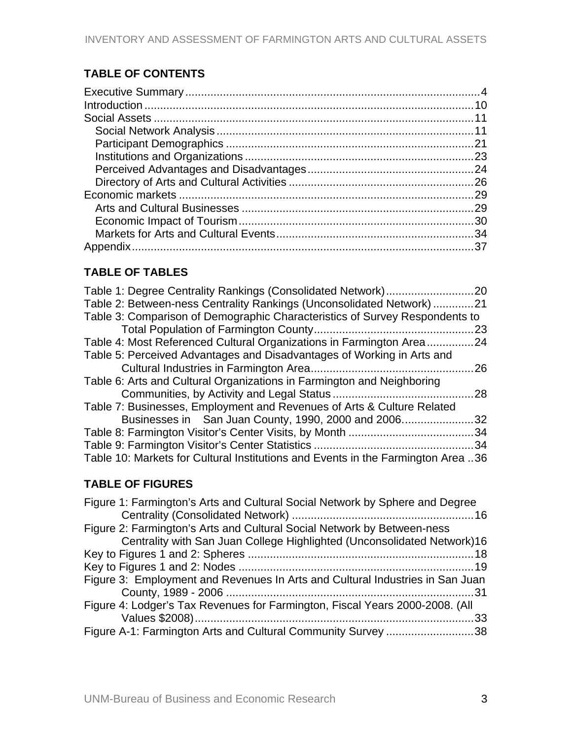# **TABLE OF CONTENTS**

# **TABLE OF TABLES**

| Table 2: Between-ness Centrality Rankings (Unconsolidated Network)21             |     |
|----------------------------------------------------------------------------------|-----|
| Table 3: Comparison of Demographic Characteristics of Survey Respondents to      |     |
|                                                                                  | 23  |
| Table 4: Most Referenced Cultural Organizations in Farmington Area24             |     |
| Table 5: Perceived Advantages and Disadvantages of Working in Arts and           |     |
|                                                                                  | 26  |
| Table 6: Arts and Cultural Organizations in Farmington and Neighboring           |     |
|                                                                                  | 28  |
| Table 7: Businesses, Employment and Revenues of Arts & Culture Related           |     |
| Businesses in San Juan County, 1990, 2000 and 2006                               | 32  |
|                                                                                  | .34 |
|                                                                                  | .34 |
| Table 10: Markets for Cultural Institutions and Events in the Farmington Area 36 |     |

# **TABLE OF FIGURES**

| Figure 1: Farmington's Arts and Cultural Social Network by Sphere and Degree  |  |
|-------------------------------------------------------------------------------|--|
|                                                                               |  |
| Figure 2: Farmington's Arts and Cultural Social Network by Between-ness       |  |
| Centrality with San Juan College Highlighted (Unconsolidated Network)16       |  |
|                                                                               |  |
|                                                                               |  |
| Figure 3: Employment and Revenues In Arts and Cultural Industries in San Juan |  |
|                                                                               |  |
| Figure 4: Lodger's Tax Revenues for Farmington, Fiscal Years 2000-2008. (All  |  |
|                                                                               |  |
| Figure A-1: Farmington Arts and Cultural Community Survey 38                  |  |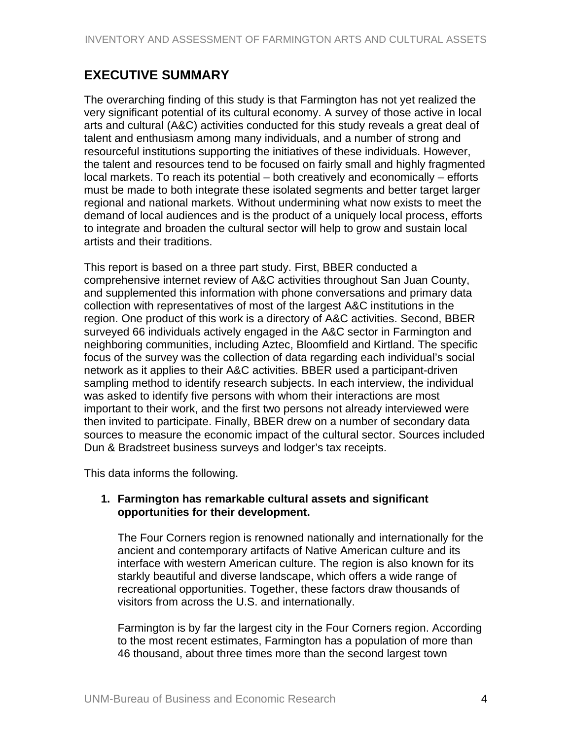# <span id="page-3-0"></span>**EXECUTIVE SUMMARY**

The overarching finding of this study is that Farmington has not yet realized the very significant potential of its cultural economy. A survey of those active in local arts and cultural (A&C) activities conducted for this study reveals a great deal of talent and enthusiasm among many individuals, and a number of strong and resourceful institutions supporting the initiatives of these individuals. However, the talent and resources tend to be focused on fairly small and highly fragmented local markets. To reach its potential – both creatively and economically – efforts must be made to both integrate these isolated segments and better target larger regional and national markets. Without undermining what now exists to meet the demand of local audiences and is the product of a uniquely local process, efforts to integrate and broaden the cultural sector will help to grow and sustain local artists and their traditions.

This report is based on a three part study. First, BBER conducted a comprehensive internet review of A&C activities throughout San Juan County, and supplemented this information with phone conversations and primary data collection with representatives of most of the largest A&C institutions in the region. One product of this work is a directory of A&C activities. Second, BBER surveyed 66 individuals actively engaged in the A&C sector in Farmington and neighboring communities, including Aztec, Bloomfield and Kirtland. The specific focus of the survey was the collection of data regarding each individual's social network as it applies to their A&C activities. BBER used a participant-driven sampling method to identify research subjects. In each interview, the individual was asked to identify five persons with whom their interactions are most important to their work, and the first two persons not already interviewed were then invited to participate. Finally, BBER drew on a number of secondary data sources to measure the economic impact of the cultural sector. Sources included Dun & Bradstreet business surveys and lodger's tax receipts.

This data informs the following.

#### **1. Farmington has remarkable cultural assets and significant opportunities for their development.**

The Four Corners region is renowned nationally and internationally for the ancient and contemporary artifacts of Native American culture and its interface with western American culture. The region is also known for its starkly beautiful and diverse landscape, which offers a wide range of recreational opportunities. Together, these factors draw thousands of visitors from across the U.S. and internationally.

Farmington is by far the largest city in the Four Corners region. According to the most recent estimates, Farmington has a population of more than 46 thousand, about three times more than the second largest town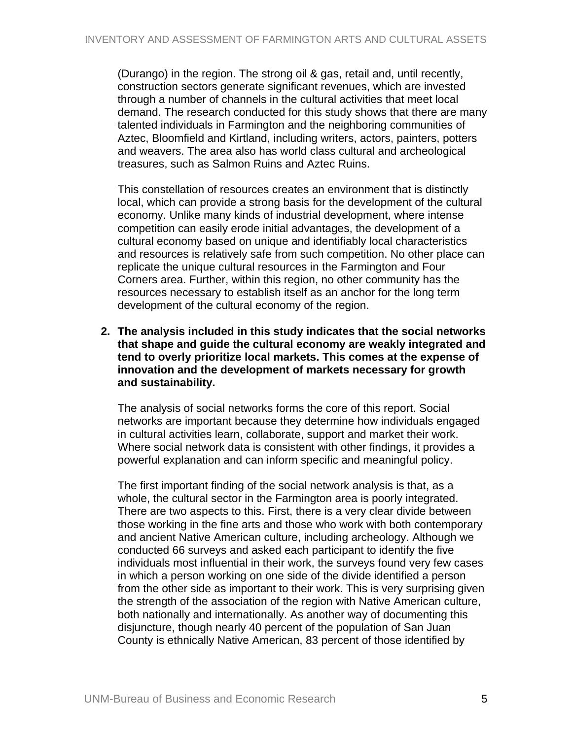(Durango) in the region. The strong oil & gas, retail and, until recently, construction sectors generate significant revenues, which are invested through a number of channels in the cultural activities that meet local demand. The research conducted for this study shows that there are many talented individuals in Farmington and the neighboring communities of Aztec, Bloomfield and Kirtland, including writers, actors, painters, potters and weavers. The area also has world class cultural and archeological treasures, such as Salmon Ruins and Aztec Ruins.

This constellation of resources creates an environment that is distinctly local, which can provide a strong basis for the development of the cultural economy. Unlike many kinds of industrial development, where intense competition can easily erode initial advantages, the development of a cultural economy based on unique and identifiably local characteristics and resources is relatively safe from such competition. No other place can replicate the unique cultural resources in the Farmington and Four Corners area. Further, within this region, no other community has the resources necessary to establish itself as an anchor for the long term development of the cultural economy of the region.

**2. The analysis included in this study indicates that the social networks that shape and guide the cultural economy are weakly integrated and tend to overly prioritize local markets. This comes at the expense of innovation and the development of markets necessary for growth and sustainability.** 

The analysis of social networks forms the core of this report. Social networks are important because they determine how individuals engaged in cultural activities learn, collaborate, support and market their work. Where social network data is consistent with other findings, it provides a powerful explanation and can inform specific and meaningful policy.

The first important finding of the social network analysis is that, as a whole, the cultural sector in the Farmington area is poorly integrated. There are two aspects to this. First, there is a very clear divide between those working in the fine arts and those who work with both contemporary and ancient Native American culture, including archeology. Although we conducted 66 surveys and asked each participant to identify the five individuals most influential in their work, the surveys found very few cases in which a person working on one side of the divide identified a person from the other side as important to their work. This is very surprising given the strength of the association of the region with Native American culture, both nationally and internationally. As another way of documenting this disjuncture, though nearly 40 percent of the population of San Juan County is ethnically Native American, 83 percent of those identified by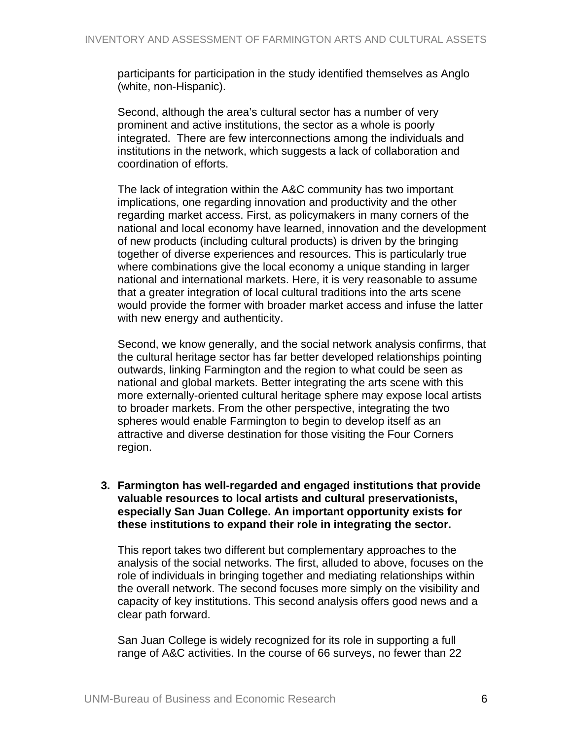participants for participation in the study identified themselves as Anglo (white, non-Hispanic).

Second, although the area's cultural sector has a number of very prominent and active institutions, the sector as a whole is poorly integrated. There are few interconnections among the individuals and institutions in the network, which suggests a lack of collaboration and coordination of efforts.

The lack of integration within the A&C community has two important implications, one regarding innovation and productivity and the other regarding market access. First, as policymakers in many corners of the national and local economy have learned, innovation and the development of new products (including cultural products) is driven by the bringing together of diverse experiences and resources. This is particularly true where combinations give the local economy a unique standing in larger national and international markets. Here, it is very reasonable to assume that a greater integration of local cultural traditions into the arts scene would provide the former with broader market access and infuse the latter with new energy and authenticity.

Second, we know generally, and the social network analysis confirms, that the cultural heritage sector has far better developed relationships pointing outwards, linking Farmington and the region to what could be seen as national and global markets. Better integrating the arts scene with this more externally-oriented cultural heritage sphere may expose local artists to broader markets. From the other perspective, integrating the two spheres would enable Farmington to begin to develop itself as an attractive and diverse destination for those visiting the Four Corners region.

#### **3. Farmington has well-regarded and engaged institutions that provide valuable resources to local artists and cultural preservationists, especially San Juan College. An important opportunity exists for these institutions to expand their role in integrating the sector.**

This report takes two different but complementary approaches to the analysis of the social networks. The first, alluded to above, focuses on the role of individuals in bringing together and mediating relationships within the overall network. The second focuses more simply on the visibility and capacity of key institutions. This second analysis offers good news and a clear path forward.

San Juan College is widely recognized for its role in supporting a full range of A&C activities. In the course of 66 surveys, no fewer than 22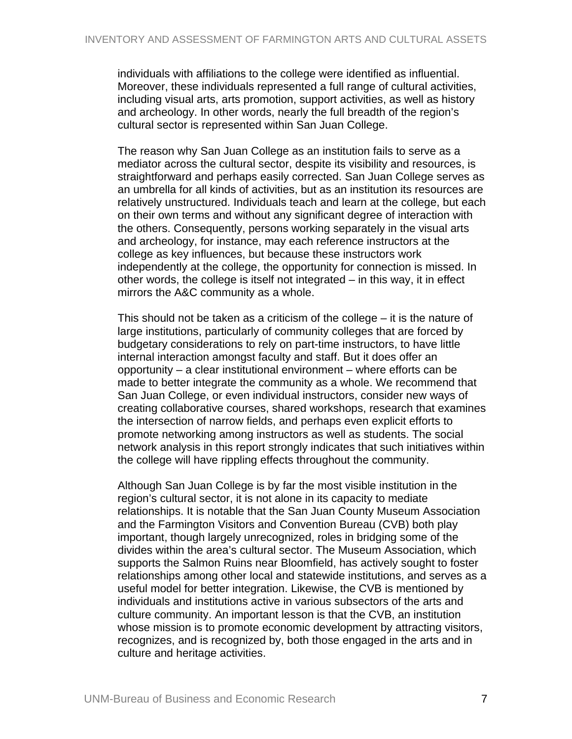individuals with affiliations to the college were identified as influential. Moreover, these individuals represented a full range of cultural activities, including visual arts, arts promotion, support activities, as well as history and archeology. In other words, nearly the full breadth of the region's cultural sector is represented within San Juan College.

The reason why San Juan College as an institution fails to serve as a mediator across the cultural sector, despite its visibility and resources, is straightforward and perhaps easily corrected. San Juan College serves as an umbrella for all kinds of activities, but as an institution its resources are relatively unstructured. Individuals teach and learn at the college, but each on their own terms and without any significant degree of interaction with the others. Consequently, persons working separately in the visual arts and archeology, for instance, may each reference instructors at the college as key influences, but because these instructors work independently at the college, the opportunity for connection is missed. In other words, the college is itself not integrated – in this way, it in effect mirrors the A&C community as a whole.

This should not be taken as a criticism of the college – it is the nature of large institutions, particularly of community colleges that are forced by budgetary considerations to rely on part-time instructors, to have little internal interaction amongst faculty and staff. But it does offer an opportunity – a clear institutional environment – where efforts can be made to better integrate the community as a whole. We recommend that San Juan College, or even individual instructors, consider new ways of creating collaborative courses, shared workshops, research that examines the intersection of narrow fields, and perhaps even explicit efforts to promote networking among instructors as well as students. The social network analysis in this report strongly indicates that such initiatives within the college will have rippling effects throughout the community.

Although San Juan College is by far the most visible institution in the region's cultural sector, it is not alone in its capacity to mediate relationships. It is notable that the San Juan County Museum Association and the Farmington Visitors and Convention Bureau (CVB) both play important, though largely unrecognized, roles in bridging some of the divides within the area's cultural sector. The Museum Association, which supports the Salmon Ruins near Bloomfield, has actively sought to foster relationships among other local and statewide institutions, and serves as a useful model for better integration. Likewise, the CVB is mentioned by individuals and institutions active in various subsectors of the arts and culture community. An important lesson is that the CVB, an institution whose mission is to promote economic development by attracting visitors, recognizes, and is recognized by, both those engaged in the arts and in culture and heritage activities.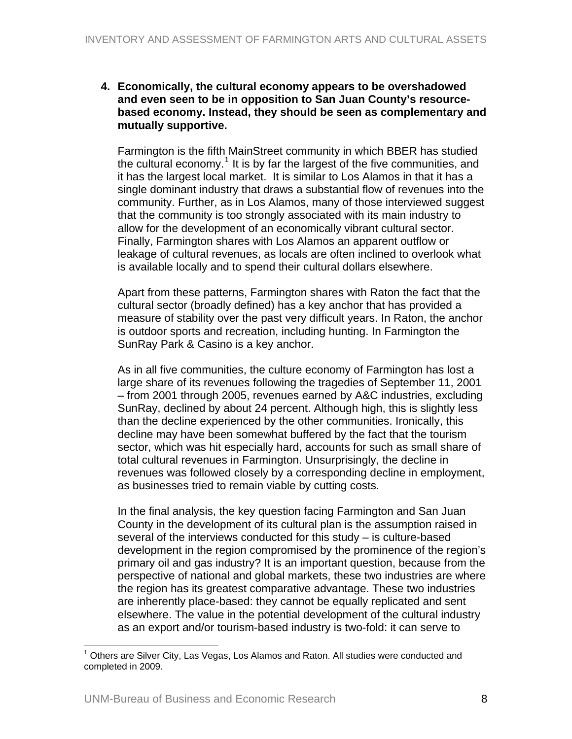#### **4. Economically, the cultural economy appears to be overshadowed and even seen to be in opposition to San Juan County's resourcebased economy. Instead, they should be seen as complementary and mutually supportive.**

Farmington is the fifth MainStreet community in which BBER has studied the cultural economy.<sup>[1](#page-7-0)</sup> It is by far the largest of the five communities, and it has the largest local market. It is similar to Los Alamos in that it has a single dominant industry that draws a substantial flow of revenues into the community. Further, as in Los Alamos, many of those interviewed suggest that the community is too strongly associated with its main industry to allow for the development of an economically vibrant cultural sector. Finally, Farmington shares with Los Alamos an apparent outflow or leakage of cultural revenues, as locals are often inclined to overlook what is available locally and to spend their cultural dollars elsewhere.

Apart from these patterns, Farmington shares with Raton the fact that the cultural sector (broadly defined) has a key anchor that has provided a measure of stability over the past very difficult years. In Raton, the anchor is outdoor sports and recreation, including hunting. In Farmington the SunRay Park & Casino is a key anchor.

As in all five communities, the culture economy of Farmington has lost a large share of its revenues following the tragedies of September 11, 2001 – from 2001 through 2005, revenues earned by A&C industries, excluding SunRay, declined by about 24 percent. Although high, this is slightly less than the decline experienced by the other communities. Ironically, this decline may have been somewhat buffered by the fact that the tourism sector, which was hit especially hard, accounts for such as small share of total cultural revenues in Farmington. Unsurprisingly, the decline in revenues was followed closely by a corresponding decline in employment, as businesses tried to remain viable by cutting costs.

In the final analysis, the key question facing Farmington and San Juan County in the development of its cultural plan is the assumption raised in several of the interviews conducted for this study – is culture-based development in the region compromised by the prominence of the region's primary oil and gas industry? It is an important question, because from the perspective of national and global markets, these two industries are where the region has its greatest comparative advantage. These two industries are inherently place-based: they cannot be equally replicated and sent elsewhere. The value in the potential development of the cultural industry as an export and/or tourism-based industry is two-fold: it can serve to

 $\overline{a}$ 

<span id="page-7-0"></span><sup>1</sup> Others are Silver City, Las Vegas, Los Alamos and Raton. All studies were conducted and completed in 2009.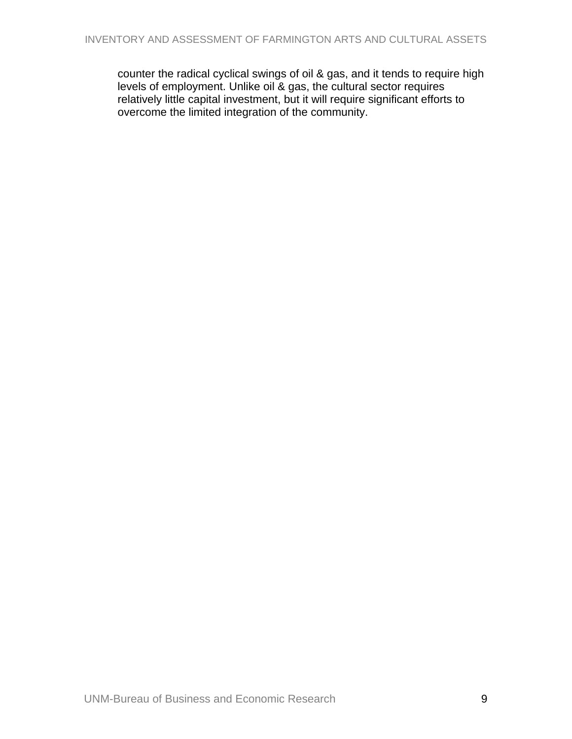counter the radical cyclical swings of oil & gas, and it tends to require high levels of employment. Unlike oil & gas, the cultural sector requires relatively little capital investment, but it will require significant efforts to overcome the limited integration of the community.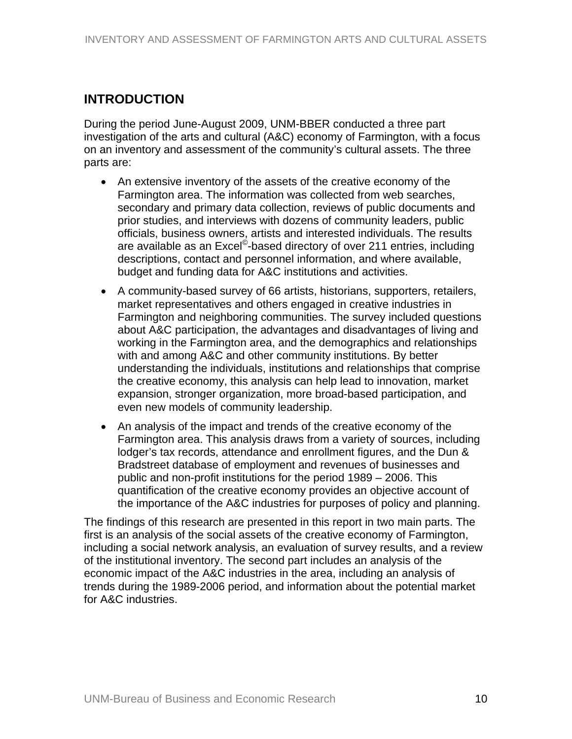# <span id="page-9-0"></span>**INTRODUCTION**

During the period June-August 2009, UNM-BBER conducted a three part investigation of the arts and cultural (A&C) economy of Farmington, with a focus on an inventory and assessment of the community's cultural assets. The three parts are:

- An extensive inventory of the assets of the creative economy of the Farmington area. The information was collected from web searches, secondary and primary data collection, reviews of public documents and prior studies, and interviews with dozens of community leaders, public officials, business owners, artists and interested individuals. The results are available as an Excel<sup>©</sup>-based directory of over 211 entries, including descriptions, contact and personnel information, and where available, budget and funding data for A&C institutions and activities.
- A community-based survey of 66 artists, historians, supporters, retailers, market representatives and others engaged in creative industries in Farmington and neighboring communities. The survey included questions about A&C participation, the advantages and disadvantages of living and working in the Farmington area, and the demographics and relationships with and among A&C and other community institutions. By better understanding the individuals, institutions and relationships that comprise the creative economy, this analysis can help lead to innovation, market expansion, stronger organization, more broad-based participation, and even new models of community leadership.
- An analysis of the impact and trends of the creative economy of the Farmington area. This analysis draws from a variety of sources, including lodger's tax records, attendance and enrollment figures, and the Dun & Bradstreet database of employment and revenues of businesses and public and non-profit institutions for the period 1989 – 2006. This quantification of the creative economy provides an objective account of the importance of the A&C industries for purposes of policy and planning.

The findings of this research are presented in this report in two main parts. The first is an analysis of the social assets of the creative economy of Farmington, including a social network analysis, an evaluation of survey results, and a review of the institutional inventory. The second part includes an analysis of the economic impact of the A&C industries in the area, including an analysis of trends during the 1989-2006 period, and information about the potential market for A&C industries.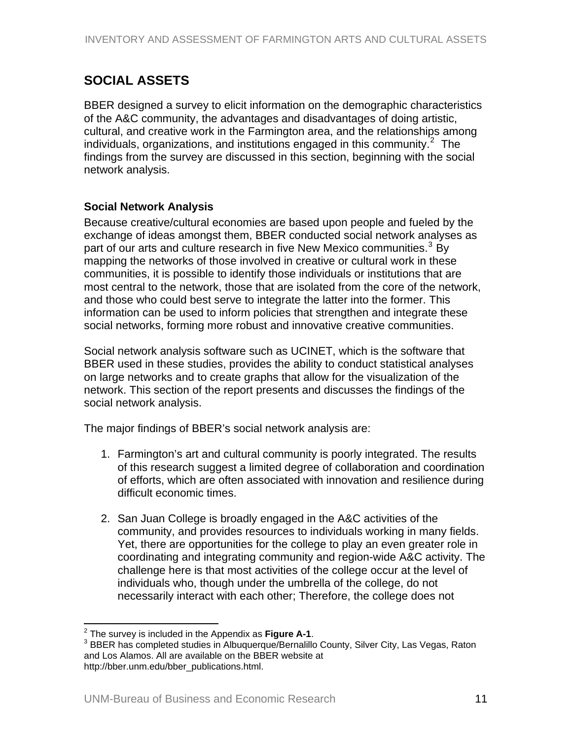# <span id="page-10-0"></span>**SOCIAL ASSETS**

BBER designed a survey to elicit information on the demographic characteristics of the A&C community, the advantages and disadvantages of doing artistic, cultural, and creative work in the Farmington area, and the relationships among individuals, organizations, and institutions engaged in this community.<sup>[2](#page-10-0)</sup> The findings from the survey are discussed in this section, beginning with the social network analysis.

### **Social Network Analysis**

Because creative/cultural economies are based upon people and fueled by the exchange of ideas amongst them, BBER conducted social network analyses as part of our arts and culture research in five New Mexico communities.<sup>[3](#page-10-0)</sup> By mapping the networks of those involved in creative or cultural work in these communities, it is possible to identify those individuals or institutions that are most central to the network, those that are isolated from the core of the network, and those who could best serve to integrate the latter into the former. This information can be used to inform policies that strengthen and integrate these social networks, forming more robust and innovative creative communities.

Social network analysis software such as UCINET, which is the software that BBER used in these studies, provides the ability to conduct statistical analyses on large networks and to create graphs that allow for the visualization of the network. This section of the report presents and discusses the findings of the social network analysis.

The major findings of BBER's social network analysis are:

- 1. Farmington's art and cultural community is poorly integrated. The results of this research suggest a limited degree of collaboration and coordination of efforts, which are often associated with innovation and resilience during difficult economic times.
- 2. San Juan College is broadly engaged in the A&C activities of the community, and provides resources to individuals working in many fields. Yet, there are opportunities for the college to play an even greater role in coordinating and integrating community and region-wide A&C activity. The challenge here is that most activities of the college occur at the level of individuals who, though under the umbrella of the college, do not necessarily interact with each other; Therefore, the college does not

<sup>&</sup>lt;sup>2</sup> The survey is included in the Appendix as **Figure A-1**.<br><sup>3</sup> BBEB has completed studies in Albuqueraus Recreditly

<sup>&</sup>lt;sup>3</sup> BBER has completed studies in Albuquerque/Bernalillo County, Silver City, Las Vegas, Raton and Los Alamos. All are available on the BBER website at http://bber.unm.edu/bber\_publications.html.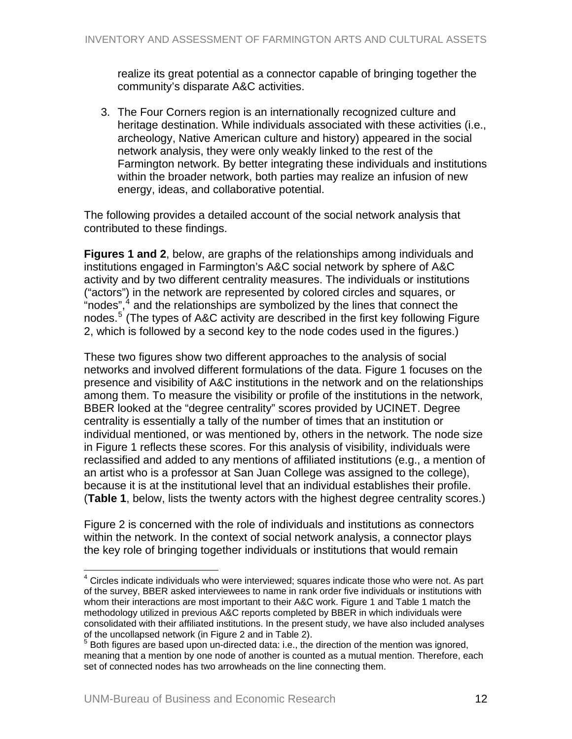<span id="page-11-0"></span>realize its great potential as a connector capable of bringing together the community's disparate A&C activities.

3. The Four Corners region is an internationally recognized culture and heritage destination. While individuals associated with these activities (i.e., archeology, Native American culture and history) appeared in the social network analysis, they were only weakly linked to the rest of the Farmington network. By better integrating these individuals and institutions within the broader network, both parties may realize an infusion of new energy, ideas, and collaborative potential.

The following provides a detailed account of the social network analysis that contributed to these findings.

**Figures 1 and 2**, below, are graphs of the relationships among individuals and institutions engaged in Farmington's A&C social network by sphere of A&C activity and by two different centrality measures. The individuals or institutions ("actors") in the network are represented by colored circles and squares, or "nodes", $4$  and the relationships are symbolized by the lines that connect the nodes.<sup>[5](#page-11-0)</sup> (The types of A&C activity are described in the first key following Figure 2, which is followed by a second key to the node codes used in the figures.)

These two figures show two different approaches to the analysis of social networks and involved different formulations of the data. Figure 1 focuses on the presence and visibility of A&C institutions in the network and on the relationships among them. To measure the visibility or profile of the institutions in the network, BBER looked at the "degree centrality" scores provided by UCINET. Degree centrality is essentially a tally of the number of times that an institution or individual mentioned, or was mentioned by, others in the network. The node size in Figure 1 reflects these scores. For this analysis of visibility, individuals were reclassified and added to any mentions of affiliated institutions (e.g., a mention of an artist who is a professor at San Juan College was assigned to the college), because it is at the institutional level that an individual establishes their profile. (**Table 1**, below, lists the twenty actors with the highest degree centrality scores.)

Figure 2 is concerned with the role of individuals and institutions as connectors within the network. In the context of social network analysis, a connector plays the key role of bringing together individuals or institutions that would remain

 $\overline{a}$ 

 $4$  Circles indicate individuals who were interviewed; squares indicate those who were not. As part of the survey, BBER asked interviewees to name in rank order five individuals or institutions with whom their interactions are most important to their A&C work. Figure 1 and Table 1 match the methodology utilized in previous A&C reports completed by BBER in which individuals were consolidated with their affiliated institutions. In the present study, we have also included analyses of the uncollapsed network (in Figure 2 and in Table 2).

 $5$  Both figures are based upon un-directed data: i.e., the direction of the mention was ignored, meaning that a mention by one node of another is counted as a mutual mention. Therefore, each set of connected nodes has two arrowheads on the line connecting them.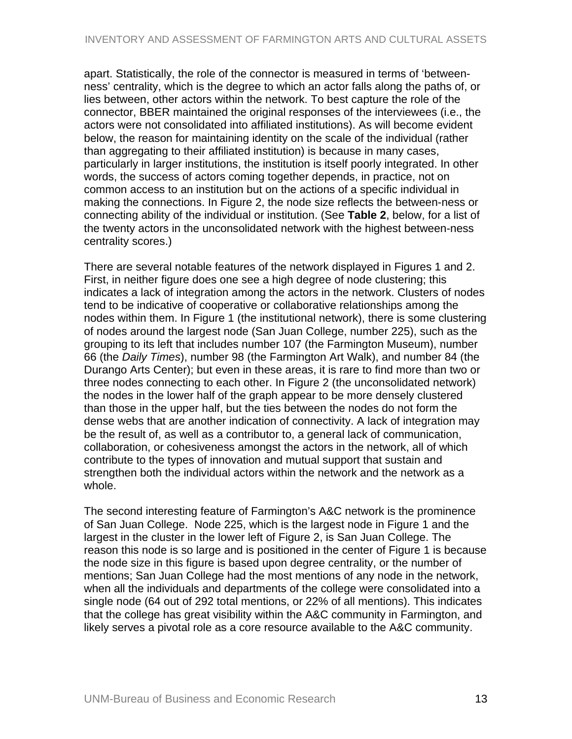apart. Statistically, the role of the connector is measured in terms of 'betweenness' centrality, which is the degree to which an actor falls along the paths of, or lies between, other actors within the network. To best capture the role of the connector, BBER maintained the original responses of the interviewees (i.e., the actors were not consolidated into affiliated institutions). As will become evident below, the reason for maintaining identity on the scale of the individual (rather than aggregating to their affiliated institution) is because in many cases, particularly in larger institutions, the institution is itself poorly integrated. In other words, the success of actors coming together depends, in practice, not on common access to an institution but on the actions of a specific individual in making the connections. In Figure 2, the node size reflects the between-ness or connecting ability of the individual or institution. (See **Table 2**, below, for a list of the twenty actors in the unconsolidated network with the highest between-ness centrality scores.)

There are several notable features of the network displayed in Figures 1 and 2. First, in neither figure does one see a high degree of node clustering; this indicates a lack of integration among the actors in the network. Clusters of nodes tend to be indicative of cooperative or collaborative relationships among the nodes within them. In Figure 1 (the institutional network), there is some clustering of nodes around the largest node (San Juan College, number 225), such as the grouping to its left that includes number 107 (the Farmington Museum), number 66 (the *Daily Times*), number 98 (the Farmington Art Walk), and number 84 (the Durango Arts Center); but even in these areas, it is rare to find more than two or three nodes connecting to each other. In Figure 2 (the unconsolidated network) the nodes in the lower half of the graph appear to be more densely clustered than those in the upper half, but the ties between the nodes do not form the dense webs that are another indication of connectivity. A lack of integration may be the result of, as well as a contributor to, a general lack of communication, collaboration, or cohesiveness amongst the actors in the network, all of which contribute to the types of innovation and mutual support that sustain and strengthen both the individual actors within the network and the network as a whole.

The second interesting feature of Farmington's A&C network is the prominence of San Juan College. Node 225, which is the largest node in Figure 1 and the largest in the cluster in the lower left of Figure 2, is San Juan College. The reason this node is so large and is positioned in the center of Figure 1 is because the node size in this figure is based upon degree centrality, or the number of mentions; San Juan College had the most mentions of any node in the network, when all the individuals and departments of the college were consolidated into a single node (64 out of 292 total mentions, or 22% of all mentions). This indicates that the college has great visibility within the A&C community in Farmington, and likely serves a pivotal role as a core resource available to the A&C community.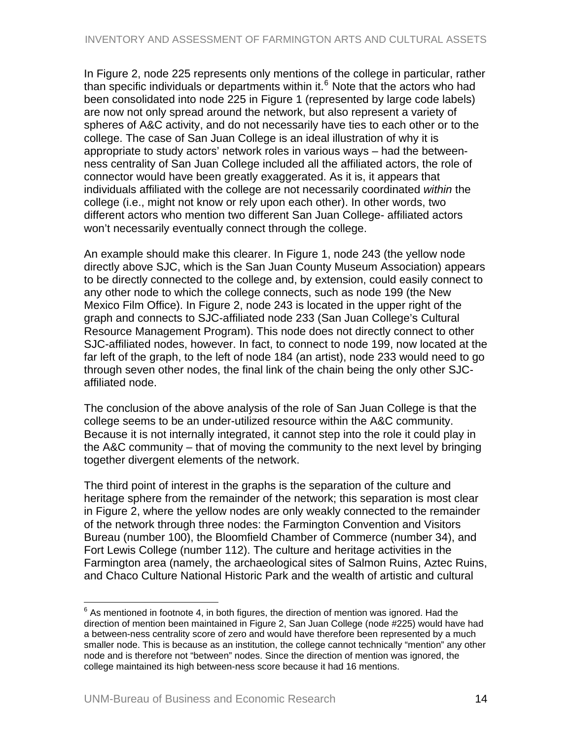<span id="page-13-0"></span>In Figure 2, node 225 represents only mentions of the college in particular, rather than specific individuals or departments within it.<sup>[6](#page-13-0)</sup> Note that the actors who had been consolidated into node 225 in Figure 1 (represented by large code labels) are now not only spread around the network, but also represent a variety of spheres of A&C activity, and do not necessarily have ties to each other or to the college. The case of San Juan College is an ideal illustration of why it is appropriate to study actors' network roles in various ways – had the betweenness centrality of San Juan College included all the affiliated actors, the role of connector would have been greatly exaggerated. As it is, it appears that individuals affiliated with the college are not necessarily coordinated *within* the college (i.e., might not know or rely upon each other). In other words, two different actors who mention two different San Juan College- affiliated actors won't necessarily eventually connect through the college.

An example should make this clearer. In Figure 1, node 243 (the yellow node directly above SJC, which is the San Juan County Museum Association) appears to be directly connected to the college and, by extension, could easily connect to any other node to which the college connects, such as node 199 (the New Mexico Film Office). In Figure 2, node 243 is located in the upper right of the graph and connects to SJC-affiliated node 233 (San Juan College's Cultural Resource Management Program). This node does not directly connect to other SJC-affiliated nodes, however. In fact, to connect to node 199, now located at the far left of the graph, to the left of node 184 (an artist), node 233 would need to go through seven other nodes, the final link of the chain being the only other SJCaffiliated node.

The conclusion of the above analysis of the role of San Juan College is that the college seems to be an under-utilized resource within the A&C community. Because it is not internally integrated, it cannot step into the role it could play in the A&C community – that of moving the community to the next level by bringing together divergent elements of the network.

The third point of interest in the graphs is the separation of the culture and heritage sphere from the remainder of the network; this separation is most clear in Figure 2, where the yellow nodes are only weakly connected to the remainder of the network through three nodes: the Farmington Convention and Visitors Bureau (number 100), the Bloomfield Chamber of Commerce (number 34), and Fort Lewis College (number 112). The culture and heritage activities in the Farmington area (namely, the archaeological sites of Salmon Ruins, Aztec Ruins, and Chaco Culture National Historic Park and the wealth of artistic and cultural

 $\overline{a}$ 

 $^6$  As mentioned in footnote 4, in both figures, the direction of mention was ignored. Had the direction of mention been maintained in Figure 2, San Juan College (node #225) would have had a between-ness centrality score of zero and would have therefore been represented by a much smaller node. This is because as an institution, the college cannot technically "mention" any other node and is therefore not "between" nodes. Since the direction of mention was ignored, the college maintained its high between-ness score because it had 16 mentions.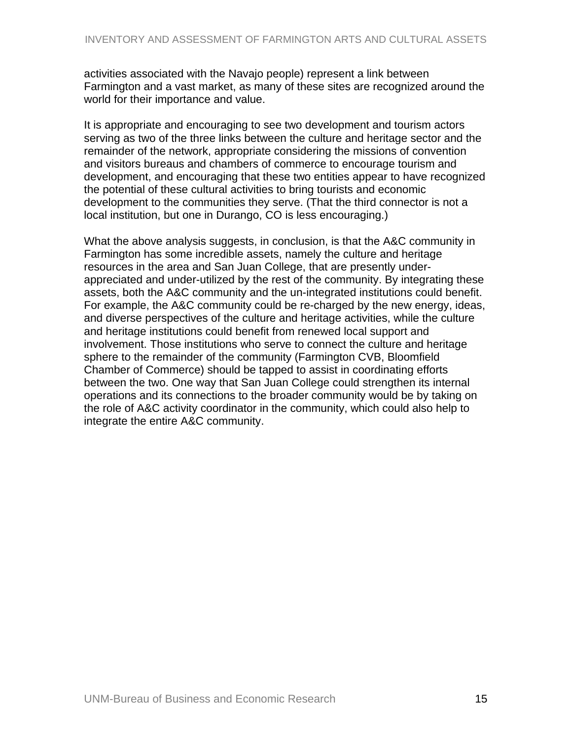activities associated with the Navajo people) represent a link between Farmington and a vast market, as many of these sites are recognized around the world for their importance and value.

It is appropriate and encouraging to see two development and tourism actors serving as two of the three links between the culture and heritage sector and the remainder of the network, appropriate considering the missions of convention and visitors bureaus and chambers of commerce to encourage tourism and development, and encouraging that these two entities appear to have recognized the potential of these cultural activities to bring tourists and economic development to the communities they serve. (That the third connector is not a local institution, but one in Durango, CO is less encouraging.)

What the above analysis suggests, in conclusion, is that the A&C community in Farmington has some incredible assets, namely the culture and heritage resources in the area and San Juan College, that are presently underappreciated and under-utilized by the rest of the community. By integrating these assets, both the A&C community and the un-integrated institutions could benefit. For example, the A&C community could be re-charged by the new energy, ideas, and diverse perspectives of the culture and heritage activities, while the culture and heritage institutions could benefit from renewed local support and involvement. Those institutions who serve to connect the culture and heritage sphere to the remainder of the community (Farmington CVB, Bloomfield Chamber of Commerce) should be tapped to assist in coordinating efforts between the two. One way that San Juan College could strengthen its internal operations and its connections to the broader community would be by taking on the role of A&C activity coordinator in the community, which could also help to integrate the entire A&C community.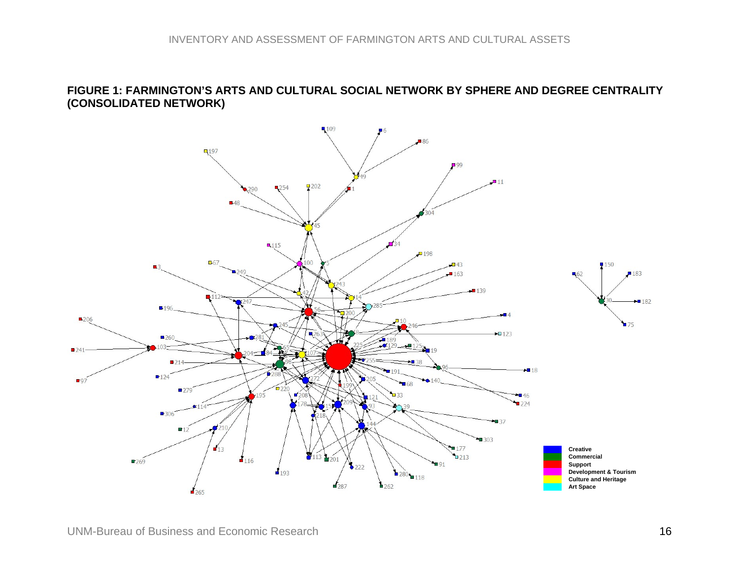#### **FIGURE 1: FARMINGTON'S ARTS AND CULTURAL SOCIAL NETWORK BY SPHERE AND DEGREE CENTRALITY (CONSOLIDATED NETWORK)**

<span id="page-15-0"></span>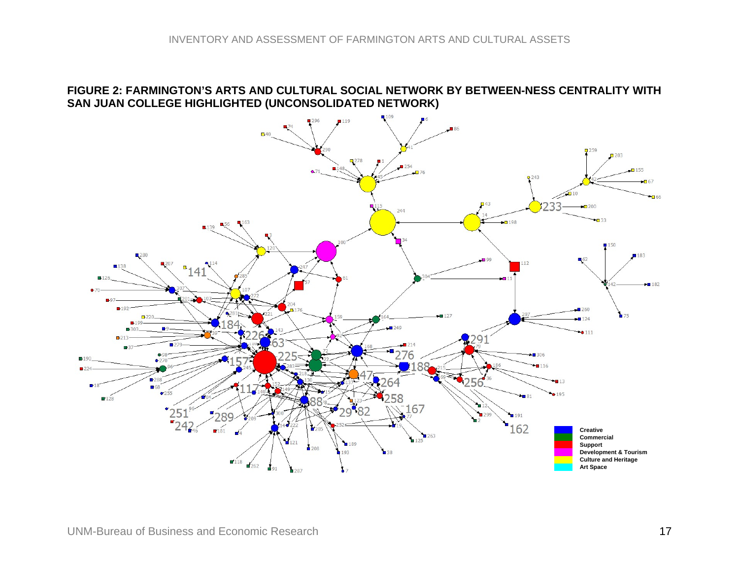#### **FIGURE 2: FARMINGTON'S ARTS AND CULTURAL SOCIAL NETWORK BY BETWEEN-NESS CENTRALITY WITH SAN JUAN COLLEGE HIGHLIGHTED (UNCONSOLIDATED NETWORK)**

<span id="page-16-0"></span>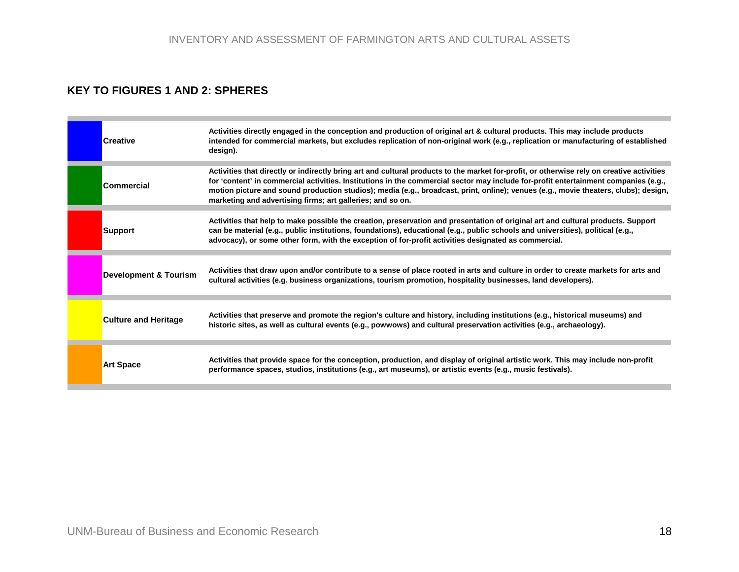#### **KEY TO FIGURES 1 AND 2: SPHERES**

<span id="page-17-0"></span>

| <b>Creative</b>                  | Activities directly engaged in the conception and production of original art & cultural products. This may include products<br>intended for commercial markets, but excludes replication of non-original work (e.g., replication or manufacturing of established<br>design).                                                                                                                                                                                                          |
|----------------------------------|---------------------------------------------------------------------------------------------------------------------------------------------------------------------------------------------------------------------------------------------------------------------------------------------------------------------------------------------------------------------------------------------------------------------------------------------------------------------------------------|
| <b>Commercial</b>                | Activities that directly or indirectly bring art and cultural products to the market for-profit, or otherwise rely on creative activities<br>for 'content' in commercial activities. Institutions in the commercial sector may include for-profit entertainment companies (e.g.,<br>motion picture and sound production studios); media (e.g., broadcast, print, online); venues (e.g., movie theaters, clubs); design,<br>marketing and advertising firms; art galleries; and so on. |
| Support                          | Activities that help to make possible the creation, preservation and presentation of original art and cultural products. Support<br>can be material (e.g., public institutions, foundations), educational (e.g., public schools and universities), political (e.g.,<br>advocacy), or some other form, with the exception of for-profit activities designated as commercial.                                                                                                           |
|                                  |                                                                                                                                                                                                                                                                                                                                                                                                                                                                                       |
| <b>Development &amp; Tourism</b> | Activities that draw upon and/or contribute to a sense of place rooted in arts and culture in order to create markets for arts and<br>cultural activities (e.g. business organizations, tourism promotion, hospitality businesses, land developers).                                                                                                                                                                                                                                  |
| <b>Culture and Heritage</b>      | Activities that preserve and promote the region's culture and history, including institutions (e.g., historical museums) and<br>historic sites, as well as cultural events (e.g., powwows) and cultural preservation activities (e.g., archaeology).                                                                                                                                                                                                                                  |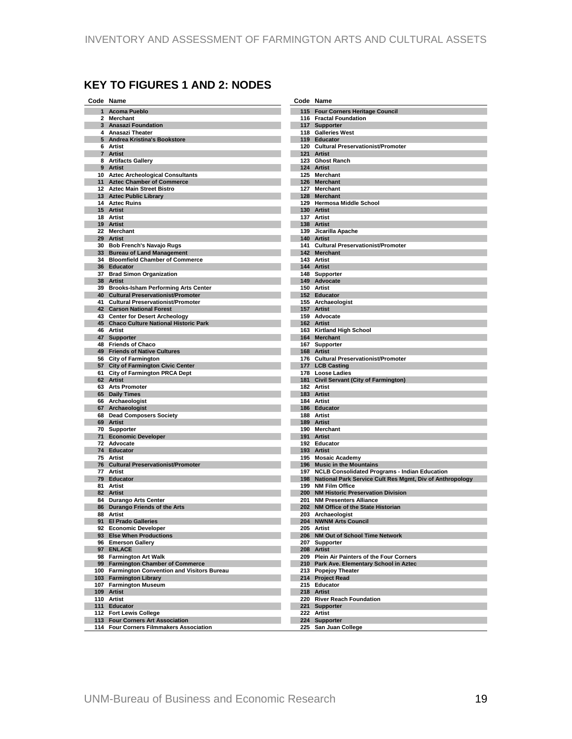# <span id="page-18-0"></span>**KEY TO FIGURES 1 AND 2: NODES**

|    | Code Name                                                   |     | Code Name                                                                              |
|----|-------------------------------------------------------------|-----|----------------------------------------------------------------------------------------|
| 1  | <b>Acoma Pueblo</b>                                         |     | 115 Four Corners Heritage Council                                                      |
|    | 2 Merchant                                                  |     | 116 Fractal Foundation                                                                 |
|    | 3 Anasazi Foundation                                        |     | 117 Supporter                                                                          |
|    | 4 Anasazi Theater<br>5 Andrea Kristina's Bookstore          |     | 118 Galleries West<br>119 Educator                                                     |
|    | 6 Artist                                                    |     | 120 Cultural Preservationist/Promoter                                                  |
|    | 7 Artist                                                    |     | 121 Artist                                                                             |
|    | 8 Artifacts Gallery                                         |     | 123 Ghost Ranch                                                                        |
|    | 9 Artist                                                    |     | 124 Artist                                                                             |
|    | 10 Aztec Archeological Consultants                          |     | 125 Merchant                                                                           |
|    | 11 Aztec Chamber of Commerce<br>12 Aztec Main Street Bistro |     | 126 Merchant<br>127 Merchant                                                           |
|    | 13 Aztec Public Library                                     |     | 128 Merchant                                                                           |
|    | 14 Aztec Ruins                                              |     | 129 Hermosa Middle School                                                              |
|    | 15 Artist                                                   |     | 130 Artist                                                                             |
|    | 18 Artist                                                   |     | 137 Artist                                                                             |
|    | 19 Artist                                                   |     | 138 Artist                                                                             |
|    | 22 Merchant<br>29 Artist                                    |     | 139 Jicarilla Apache<br>140 Artist                                                     |
|    | 30 Bob French's Navajo Rugs                                 |     | 141 Cultural Preservationist/Promoter                                                  |
|    | 33 Bureau of Land Management                                |     | 142 Merchant                                                                           |
|    | 34 Bloomfield Chamber of Commerce                           |     | 143 Artist                                                                             |
|    | 36 Educator                                                 |     | 144 Artist                                                                             |
|    | 37 Brad Simon Organization                                  |     | 148 Supporter                                                                          |
|    | 38 Artist<br>39 Brooks-Isham Performing Arts Center         |     | 149 Advocate<br>150 Artist                                                             |
| 40 | <b>Cultural Preservationist/Promoter</b>                    |     | 152 Educator                                                                           |
|    | 41 Cultural Preservationist/Promoter                        |     | 155 Archaeologist                                                                      |
|    | <b>42 Carson National Forest</b>                            |     | 157 Artist                                                                             |
|    | 43 Center for Desert Archeology                             |     | 159 Advocate                                                                           |
|    | 45 Chaco Culture National Historic Park<br>46 Artist        |     | 162 Artist                                                                             |
|    | 47 Supporter                                                |     | 163 Kirtland High School<br>164 Merchant                                               |
|    | 48 Friends of Chaco                                         |     | 167 Supporter                                                                          |
|    | 49 Friends of Native Cultures                               |     | 168 Artist                                                                             |
|    | 56 City of Farmington                                       |     | 176 Cultural Preservationist/Promoter                                                  |
|    | 57 City of Farmington Civic Center                          |     | 177 LCB Casting                                                                        |
|    | 61 City of Farmington PRCA Dept<br>62 Artist                |     | 178 Loose Ladies<br>181 Civil Servant (City of Farmington)                             |
|    | 63 Arts Promoter                                            |     | 182 Artist                                                                             |
|    | 65 Daily Times                                              |     | 183 Artist                                                                             |
|    | 66 Archaeologist                                            |     | 184 Artist                                                                             |
|    | 67 Archaeologist                                            |     | 186 Educator                                                                           |
|    | 68 Dead Composers Society<br>69 Artist                      |     | 188 Artist<br>189 Artist                                                               |
|    | 70 Supporter                                                |     | 190 Merchant                                                                           |
|    | 71 Economic Developer                                       |     | 191 Artist                                                                             |
|    | 72 Advocate                                                 |     | 192 Educator                                                                           |
|    | 74 Educator                                                 |     | 193 Artist                                                                             |
|    | 75 Artist                                                   |     | 195 Mosaic Academy                                                                     |
|    | 76 Cultural Preservationist/Promoter<br>77 Artist           |     | 196 Music in the Mountains<br>197 NCLB Consolidated Programs - Indian Education        |
|    | 79 Educator                                                 |     | 198 National Park Service Cult Res Mgmt, Div of Anthropology                           |
|    | 81 Artist                                                   |     | 199 NM Film Office                                                                     |
| 82 | <b>Artist</b>                                               |     | 200 NM Historic Preservation Division                                                  |
|    | 84 Durango Arts Center                                      | 201 | <b>NM Presenters Alliance</b>                                                          |
| 86 | Durango Friends of the Arts<br>88 Artist                    |     | 202 NM Office of the State Historian                                                   |
|    | 91 El Prado Galleries                                       |     | 203 Archaeologist<br>204 NWNM Arts Council                                             |
|    | 92 Economic Developer                                       |     | 205 Artist                                                                             |
|    | 93 Else When Productions                                    |     | 206 NM Out of School Time Network                                                      |
|    | 96 Emerson Gallery                                          |     | 207 Supporter                                                                          |
|    | 97 ENLACE                                                   |     | 208 Artist                                                                             |
|    | 98 Farmington Art Walk<br>99 Farmington Chamber of Commerce |     | 209 Plein Air Painters of the Four Corners<br>210 Park Ave. Elementary School in Aztec |
|    | 100 Farmington Convention and Visitors Bureau               |     | 213 Popejoy Theater                                                                    |
|    | 103 Farmington Library                                      |     | 214 Project Read                                                                       |
|    | 107 Farmington Museum                                       |     | 215 Educator                                                                           |
|    | 109 Artist                                                  |     | 218 Artist                                                                             |
|    | 110 Artist<br>111 Educator                                  |     | 220 River Reach Foundation<br>221 Supporter                                            |
|    | 112 Fort Lewis College                                      |     | 222 Artist                                                                             |
|    | 113 Four Corners Art Association                            |     | 224 Supporter                                                                          |
|    | 114 Four Corners Filmmakers Association                     |     | 225 San Juan College                                                                   |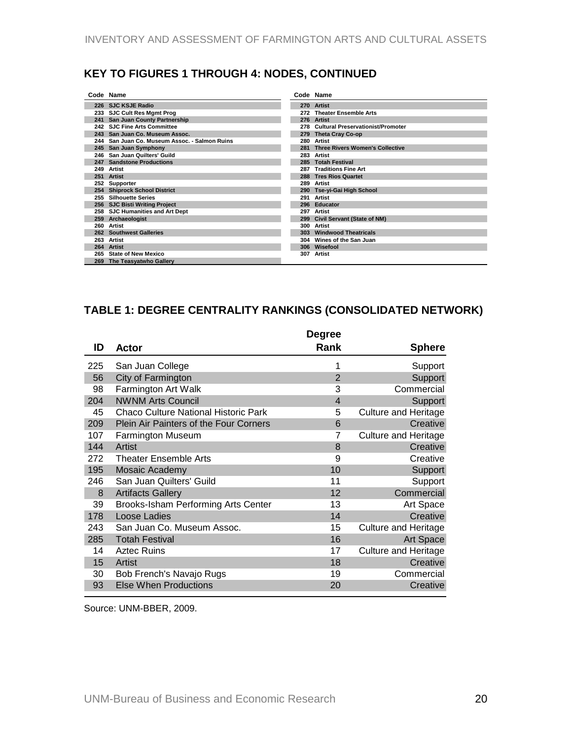## <span id="page-19-0"></span>**KEY TO FIGURES 1 THROUGH 4: NODES, CONTINUED**

|     | Code Name                                     |     | Code Name                                |
|-----|-----------------------------------------------|-----|------------------------------------------|
|     | 226 SJC KSJE Radio                            |     | 270 Artist                               |
|     | 233 SJC Cult Res Mgmt Prog                    | 272 | <b>Theater Ensemble Arts</b>             |
| 241 | San Juan County Partnership                   |     | 276 Artist                               |
|     | 242 SJC Fine Arts Committee                   | 278 | <b>Cultural Preservationist/Promoter</b> |
|     | 243 San Juan Co. Museum Assoc.                | 279 | Theta Cray Co-op                         |
|     | 244 San Juan Co. Museum Assoc. - Salmon Ruins | 280 | Artist                                   |
| 245 | San Juan Symphony                             | 281 | <b>Three Rivers Women's Collective</b>   |
|     | 246 San Juan Quilters' Guild                  | 283 | Artist                                   |
| 247 | <b>Sandstone Productions</b>                  | 285 | <b>Totah Festival</b>                    |
| 249 | Artist                                        | 287 | <b>Traditions Fine Art</b>               |
| 251 | Artist                                        |     | 288 Tres Rios Quartet                    |
| 252 | Supporter                                     | 289 | Artist                                   |
|     | 254 Shiprock School District                  |     | 290 Tse-yi-Gai High School               |
| 255 | <b>Silhouette Series</b>                      | 291 | Artist                                   |
|     | 256 SJC Bisti Writing Project                 |     | 296 Educator                             |
|     | 258 SJC Humanities and Art Dept               | 297 | Artist                                   |
| 259 | Archaeologist                                 | 299 | <b>Civil Servant (State of NM)</b>       |
| 260 | Artist                                        | 300 | Artist                                   |
|     | 262 Southwest Galleries                       | 303 | <b>Windwood Theatricals</b>              |
| 263 | Artist                                        |     | 304 Wines of the San Juan                |
| 264 | Artist                                        |     | 306 Wisefool                             |
| 265 | <b>State of New Mexico</b>                    | 307 | Artist                                   |
| 269 | The Teasyatwho Gallery                        |     |                                          |

# **TABLE 1: DEGREE CENTRALITY RANKINGS (CONSOLIDATED NETWORK)**

| ID  |                                             | <b>Degree</b><br>Rank |                             |
|-----|---------------------------------------------|-----------------------|-----------------------------|
|     | Actor                                       |                       | <b>Sphere</b>               |
| 225 | San Juan College                            | 1                     | Support                     |
| 56  | City of Farmington                          | $\overline{2}$        | Support                     |
| 98  | Farmington Art Walk                         | 3                     | Commercial                  |
| 204 | <b>NWNM Arts Council</b>                    | $\overline{4}$        | Support                     |
| 45  | <b>Chaco Culture National Historic Park</b> | 5                     | <b>Culture and Heritage</b> |
| 209 | Plein Air Painters of the Four Corners      | 6                     | Creative                    |
| 107 | <b>Farmington Museum</b>                    | 7                     | <b>Culture and Heritage</b> |
| 144 | <b>Artist</b>                               | 8                     | Creative                    |
| 272 | <b>Theater Ensemble Arts</b>                | 9                     | Creative                    |
| 195 | Mosaic Academy                              | 10                    | Support                     |
| 246 | San Juan Quilters' Guild                    | 11                    | Support                     |
| 8   | <b>Artifacts Gallery</b>                    | 12                    | Commercial                  |
| 39  | Brooks-Isham Performing Arts Center         | 13                    | Art Space                   |
| 178 | Loose Ladies                                | 14                    | Creative                    |
| 243 | San Juan Co. Museum Assoc.                  | 15                    | Culture and Heritage        |
| 285 | <b>Totah Festival</b>                       | 16                    | Art Space                   |
| 14  | <b>Aztec Ruins</b>                          | 17                    | <b>Culture and Heritage</b> |
| 15  | Artist                                      | 18                    | Creative                    |
| 30  | Bob French's Navajo Rugs                    | 19                    | Commercial                  |
| 93  | <b>Else When Productions</b>                | 20                    | Creative                    |
|     |                                             |                       |                             |

Source: UNM-BBER, 2009.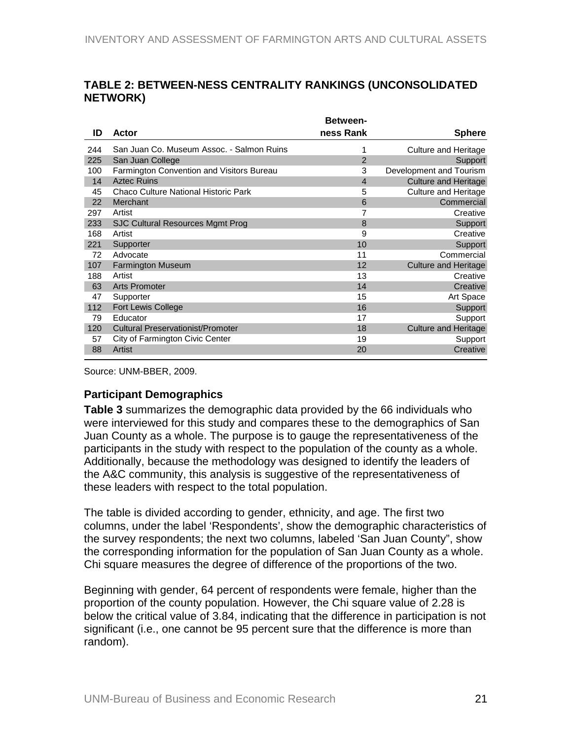<span id="page-20-0"></span>

| TABLE 2: BETWEEN-NESS CENTRALITY RANKINGS (UNCONSOLIDATED |  |
|-----------------------------------------------------------|--|
| <b>NETWORK)</b>                                           |  |

|     |                                             | <b>Between-</b> |                             |
|-----|---------------------------------------------|-----------------|-----------------------------|
| ID  | Actor                                       | ness Rank       | <b>Sphere</b>               |
| 244 | San Juan Co. Museum Assoc. - Salmon Ruins   |                 | <b>Culture and Heritage</b> |
| 225 | San Juan College                            | 2               | Support                     |
| 100 | Farmington Convention and Visitors Bureau   | 3               | Development and Tourism     |
| 14  | <b>Aztec Ruins</b>                          | $\overline{4}$  | <b>Culture and Heritage</b> |
| 45  | <b>Chaco Culture National Historic Park</b> | 5               | <b>Culture and Heritage</b> |
| 22  | Merchant                                    | 6               | Commercial                  |
| 297 | Artist                                      | 7               | Creative                    |
| 233 | <b>SJC Cultural Resources Mgmt Prog</b>     | 8               | Support                     |
| 168 | Artist                                      | 9               | Creative                    |
| 221 | Supporter                                   | 10              | Support                     |
| 72  | Advocate                                    | 11              | Commercial                  |
| 107 | <b>Farmington Museum</b>                    | 12              | <b>Culture and Heritage</b> |
| 188 | Artist                                      | 13              | Creative                    |
| 63  | <b>Arts Promoter</b>                        | 14              | Creative                    |
| 47  | Supporter                                   | 15              | Art Space                   |
| 112 | <b>Fort Lewis College</b>                   | 16              | Support                     |
| 79  | Educator                                    | 17              | Support                     |
| 120 | <b>Cultural Preservationist/Promoter</b>    | 18              | <b>Culture and Heritage</b> |
| 57  | City of Farmington Civic Center             | 19              | Support                     |
| 88  | Artist                                      | 20              | Creative                    |
|     |                                             |                 |                             |

Source: UNM-BBER, 2009.

#### **Participant Demographics**

**Table 3** summarizes the demographic data provided by the 66 individuals who were interviewed for this study and compares these to the demographics of San Juan County as a whole. The purpose is to gauge the representativeness of the participants in the study with respect to the population of the county as a whole. Additionally, because the methodology was designed to identify the leaders of the A&C community, this analysis is suggestive of the representativeness of these leaders with respect to the total population.

The table is divided according to gender, ethnicity, and age. The first two columns, under the label 'Respondents', show the demographic characteristics of the survey respondents; the next two columns, labeled 'San Juan County", show the corresponding information for the population of San Juan County as a whole. Chi square measures the degree of difference of the proportions of the two.

Beginning with gender, 64 percent of respondents were female, higher than the proportion of the county population. However, the Chi square value of 2.28 is below the critical value of 3.84, indicating that the difference in participation is not significant (i.e., one cannot be 95 percent sure that the difference is more than random).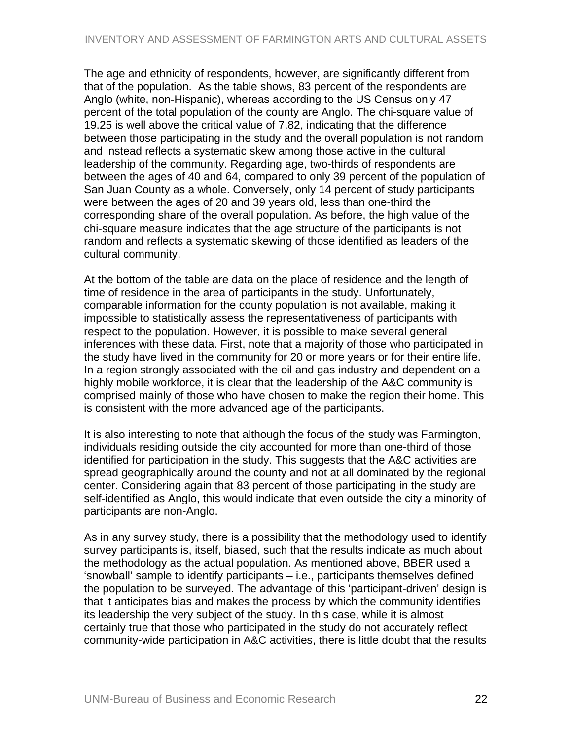The age and ethnicity of respondents, however, are significantly different from that of the population. As the table shows, 83 percent of the respondents are Anglo (white, non-Hispanic), whereas according to the US Census only 47 percent of the total population of the county are Anglo. The chi-square value of 19.25 is well above the critical value of 7.82, indicating that the difference between those participating in the study and the overall population is not random and instead reflects a systematic skew among those active in the cultural leadership of the community. Regarding age, two-thirds of respondents are between the ages of 40 and 64, compared to only 39 percent of the population of San Juan County as a whole. Conversely, only 14 percent of study participants were between the ages of 20 and 39 years old, less than one-third the corresponding share of the overall population. As before, the high value of the chi-square measure indicates that the age structure of the participants is not random and reflects a systematic skewing of those identified as leaders of the cultural community.

At the bottom of the table are data on the place of residence and the length of time of residence in the area of participants in the study. Unfortunately, comparable information for the county population is not available, making it impossible to statistically assess the representativeness of participants with respect to the population. However, it is possible to make several general inferences with these data. First, note that a majority of those who participated in the study have lived in the community for 20 or more years or for their entire life. In a region strongly associated with the oil and gas industry and dependent on a highly mobile workforce, it is clear that the leadership of the A&C community is comprised mainly of those who have chosen to make the region their home. This is consistent with the more advanced age of the participants.

It is also interesting to note that although the focus of the study was Farmington, individuals residing outside the city accounted for more than one-third of those identified for participation in the study. This suggests that the A&C activities are spread geographically around the county and not at all dominated by the regional center. Considering again that 83 percent of those participating in the study are self-identified as Anglo, this would indicate that even outside the city a minority of participants are non-Anglo.

As in any survey study, there is a possibility that the methodology used to identify survey participants is, itself, biased, such that the results indicate as much about the methodology as the actual population. As mentioned above, BBER used a 'snowball' sample to identify participants – i.e., participants themselves defined the population to be surveyed. The advantage of this 'participant-driven' design is that it anticipates bias and makes the process by which the community identifies its leadership the very subject of the study. In this case, while it is almost certainly true that those who participated in the study do not accurately reflect community-wide participation in A&C activities, there is little doubt that the results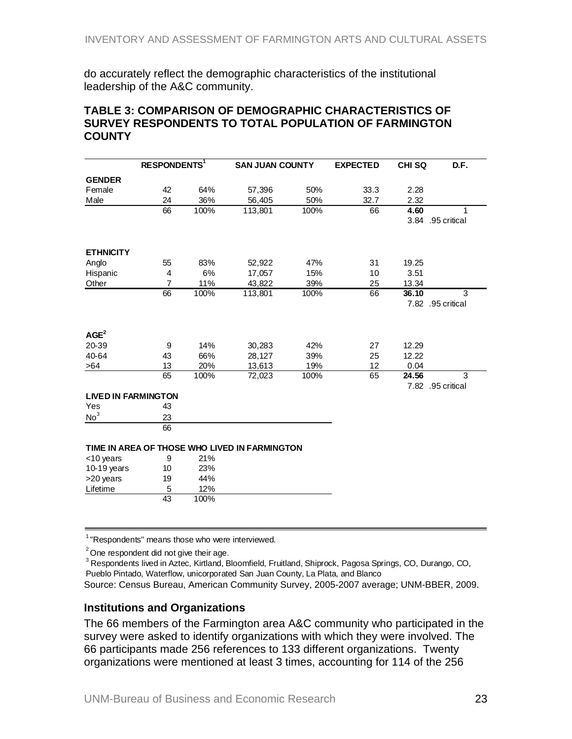<span id="page-22-0"></span>do accurately reflect the demographic characteristics of the institutional leadership of the A&C community.

#### **TABLE 3: COMPARISON OF DEMOGRAPHIC CHARACTERISTICS OF SURVEY RESPONDENTS TO TOTAL POPULATION OF FARMINGTON COUNTY**

|                            | <b>RESPONDENTS<sup>1</sup></b> |      | <b>SAN JUAN COUNTY</b>                        |      | <b>EXPECTED</b> | <b>CHI SQ</b> | D.F.              |
|----------------------------|--------------------------------|------|-----------------------------------------------|------|-----------------|---------------|-------------------|
| <b>GENDER</b>              |                                |      |                                               |      |                 |               |                   |
| Female                     | 42                             | 64%  | 57,396                                        | 50%  | 33.3            | 2.28          |                   |
| Male                       | 24                             | 36%  | 56,405                                        | 50%  | 32.7            | 2.32          |                   |
|                            | 66                             | 100% | 113,801                                       | 100% | 66              | 4.60          | 1                 |
|                            |                                |      |                                               |      |                 |               | 3.84 .95 critical |
| <b>ETHNICITY</b>           |                                |      |                                               |      |                 |               |                   |
| Anglo                      | 55                             | 83%  | 52,922                                        | 47%  | 31              | 19.25         |                   |
| Hispanic                   | $\overline{4}$                 | 6%   | 17,057                                        | 15%  | 10              | 3.51          |                   |
| Other                      | $\overline{7}$                 | 11%  | 43,822                                        | 39%  | 25              | 13.34         |                   |
|                            | 66                             | 100% | 113,801                                       | 100% | 66              | 36.10         | 3                 |
|                            |                                |      |                                               |      |                 |               | 7.82 .95 critical |
| AGE <sup>2</sup>           |                                |      |                                               |      |                 |               |                   |
| 20-39                      | 9                              | 14%  | 30,283                                        | 42%  | 27              | 12.29         |                   |
| 40-64                      | 43                             | 66%  | 28,127                                        | 39%  | 25              | 12.22         |                   |
| >64                        | 13                             | 20%  | 13,613                                        | 19%  | 12              | 0.04          |                   |
|                            | 65                             | 100% | 72,023                                        | 100% | 65              | 24.56         | 3                 |
| <b>LIVED IN FARMINGTON</b> |                                |      |                                               |      |                 |               | 7.82 .95 critical |
| Yes                        | 43                             |      |                                               |      |                 |               |                   |
| No <sup>3</sup>            | 23                             |      |                                               |      |                 |               |                   |
|                            | 66                             |      |                                               |      |                 |               |                   |
|                            |                                |      | TIME IN AREA OF THOSE WHO LIVED IN FARMINGTON |      |                 |               |                   |
| <10 years                  | 9                              | 21%  |                                               |      |                 |               |                   |
| 10-19 years                | 10                             | 23%  |                                               |      |                 |               |                   |
| >20 years                  | 19                             | 44%  |                                               |      |                 |               |                   |
| Lifetime                   | 5                              | 12%  |                                               |      |                 |               |                   |
|                            | 43                             | 100% |                                               |      |                 |               |                   |
|                            |                                |      |                                               |      |                 |               |                   |

<sup>1</sup> "Respondents" means those who were interviewed.

 $2$  One respondent did not give their age.

 $^3$  Respondents lived in Aztec, Kirtland, Bloomfield, Fruitland, Shiprock, Pagosa Springs, CO, Durango, CO, Pueblo Pintado, Waterflow, unicorporated San Juan County, La Plata, and Blanco Source: Census Bureau, American Community Survey, 2005-2007 average; UNM-BBER, 2009.

#### **Institutions and Organizations**

The 66 members of the Farmington area A&C community who participated in the survey were asked to identify organizations with which they were involved. The 66 participants made 256 references to 133 different organizations. Twenty organizations were mentioned at least 3 times, accounting for 114 of the 256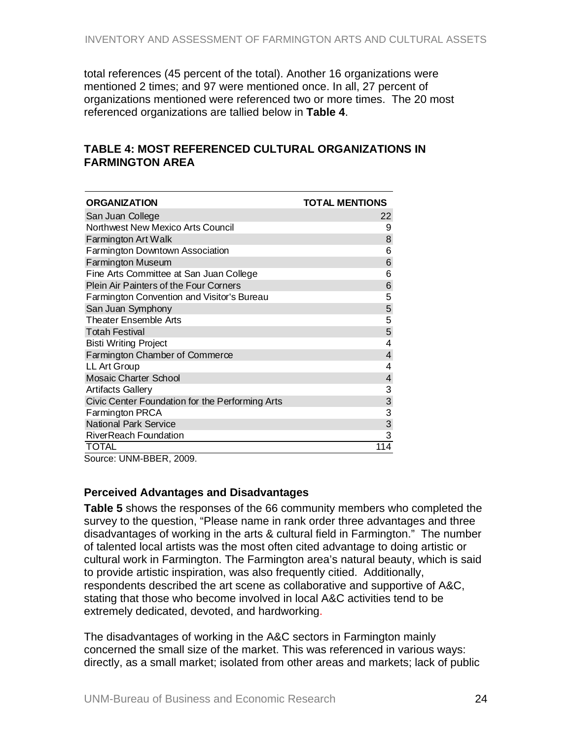<span id="page-23-0"></span>total references (45 percent of the total). Another 16 organizations were mentioned 2 times; and 97 were mentioned once. In all, 27 percent of organizations mentioned were referenced two or more times. The 20 most referenced organizations are tallied below in **Table 4**.

#### **TABLE 4: MOST REFERENCED CULTURAL ORGANIZATIONS IN FARMINGTON AREA**

| <b>ORGANIZATION</b>                             | <b>TOTAL MENTIONS</b> |
|-------------------------------------------------|-----------------------|
| San Juan College                                | 22                    |
| <b>Northwest New Mexico Arts Council</b>        | 9                     |
| Farmington Art Walk                             | 8                     |
| Farmington Downtown Association                 | 6                     |
| <b>Farmington Museum</b>                        | 6                     |
| Fine Arts Committee at San Juan College         | 6                     |
| Plein Air Painters of the Four Corners          | 6                     |
| Farmington Convention and Visitor's Bureau      | 5                     |
| San Juan Symphony                               | 5                     |
| <b>Theater Ensemble Arts</b>                    | 5                     |
| <b>Totah Festival</b>                           | 5                     |
| <b>Bisti Writing Project</b>                    | 4                     |
| Farmington Chamber of Commerce                  | 4                     |
| LL Art Group                                    | 4                     |
| Mosaic Charter School                           | 4                     |
| <b>Artifacts Gallery</b>                        | 3                     |
| Civic Center Foundation for the Performing Arts | 3                     |
| Farmington PRCA                                 | 3                     |
| <b>National Park Service</b>                    | 3                     |
| <b>RiverReach Foundation</b>                    | 3                     |
| <b>TOTAL</b>                                    | 114                   |

Source: UNM-BBER, 2009.

#### **Perceived Advantages and Disadvantages**

**Table 5** shows the responses of the 66 community members who completed the survey to the question, "Please name in rank order three advantages and three disadvantages of working in the arts & cultural field in Farmington." The number of talented local artists was the most often cited advantage to doing artistic or cultural work in Farmington. The Farmington area's natural beauty, which is said to provide artistic inspiration, was also frequently citied. Additionally, respondents described the art scene as collaborative and supportive of A&C, stating that those who become involved in local A&C activities tend to be extremely dedicated, devoted, and hardworking.

The disadvantages of working in the A&C sectors in Farmington mainly concerned the small size of the market. This was referenced in various ways: directly, as a small market; isolated from other areas and markets; lack of public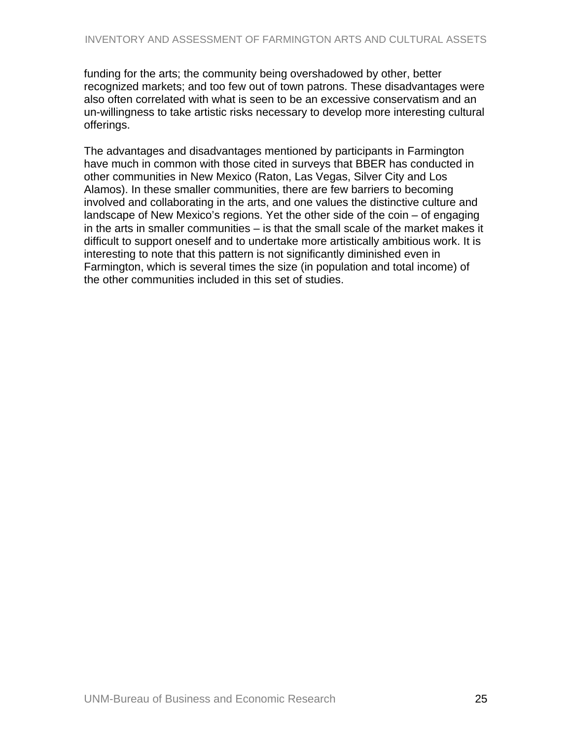funding for the arts; the community being overshadowed by other, better recognized markets; and too few out of town patrons. These disadvantages were also often correlated with what is seen to be an excessive conservatism and an un-willingness to take artistic risks necessary to develop more interesting cultural offerings.

The advantages and disadvantages mentioned by participants in Farmington have much in common with those cited in surveys that BBER has conducted in other communities in New Mexico (Raton, Las Vegas, Silver City and Los Alamos). In these smaller communities, there are few barriers to becoming involved and collaborating in the arts, and one values the distinctive culture and landscape of New Mexico's regions. Yet the other side of the coin – of engaging in the arts in smaller communities – is that the small scale of the market makes it difficult to support oneself and to undertake more artistically ambitious work. It is interesting to note that this pattern is not significantly diminished even in Farmington, which is several times the size (in population and total income) of the other communities included in this set of studies.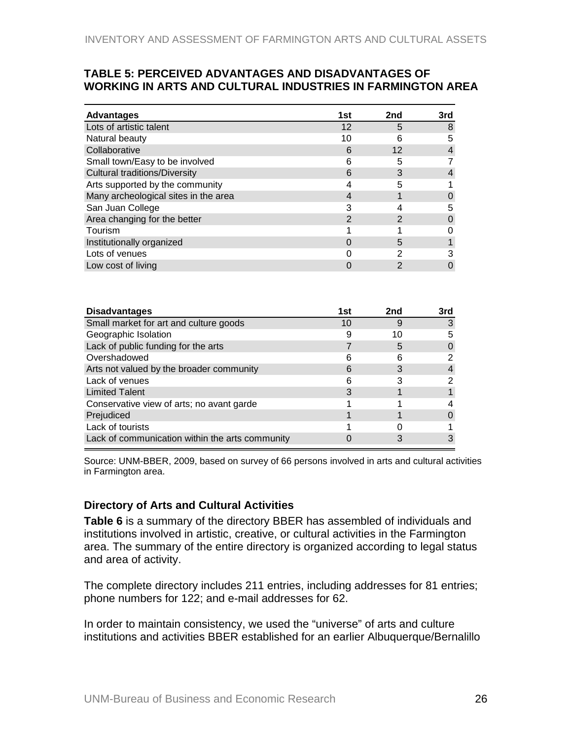#### <span id="page-25-0"></span>**TABLE 5: PERCEIVED ADVANTAGES AND DISADVANTAGES OF WORKING IN ARTS AND CULTURAL INDUSTRIES IN FARMINGTON AREA**

| <b>Advantages</b>                    | 1st | 2nd | 3rd |
|--------------------------------------|-----|-----|-----|
| Lots of artistic talent              | 12  | 5   | 8   |
| Natural beauty                       | 10  | 6   | 5   |
| Collaborative                        | 6   | 12  |     |
| Small town/Easy to be involved       | 6   |     |     |
| <b>Cultural traditions/Diversity</b> | 6   | 3   |     |
| Arts supported by the community      |     |     |     |
| Many archeological sites in the area |     |     |     |
| San Juan College                     | 3   |     | 5   |
| Area changing for the better         | 2   |     | O   |
| Tourism                              |     |     |     |
| Institutionally organized            |     | 5   |     |
| Lots of venues                       |     | ົ   |     |
| Low cost of living                   |     |     |     |

| <b>Disadvantages</b>                            | 1st | 2nd | 3rd |
|-------------------------------------------------|-----|-----|-----|
| Small market for art and culture goods          | 10  |     |     |
| Geographic Isolation                            |     | 10  | 5   |
| Lack of public funding for the arts             |     | h   |     |
| Overshadowed                                    | 6   | 6   | 2   |
| Arts not valued by the broader community        | 6   |     |     |
| Lack of venues                                  | 6   |     |     |
| <b>Limited Talent</b>                           |     |     |     |
| Conservative view of arts; no avant garde       |     |     |     |
| Prejudiced                                      |     |     |     |
| Lack of tourists                                |     |     |     |
| Lack of communication within the arts community |     |     |     |

Source: UNM-BBER, 2009, based on survey of 66 persons involved in arts and cultural activities in Farmington area.

#### **Directory of Arts and Cultural Activities**

**Table 6** is a summary of the directory BBER has assembled of individuals and institutions involved in artistic, creative, or cultural activities in the Farmington area. The summary of the entire directory is organized according to legal status and area of activity.

The complete directory includes 211 entries, including addresses for 81 entries; phone numbers for 122; and e-mail addresses for 62.

In order to maintain consistency, we used the "universe" of arts and culture institutions and activities BBER established for an earlier Albuquerque/Bernalillo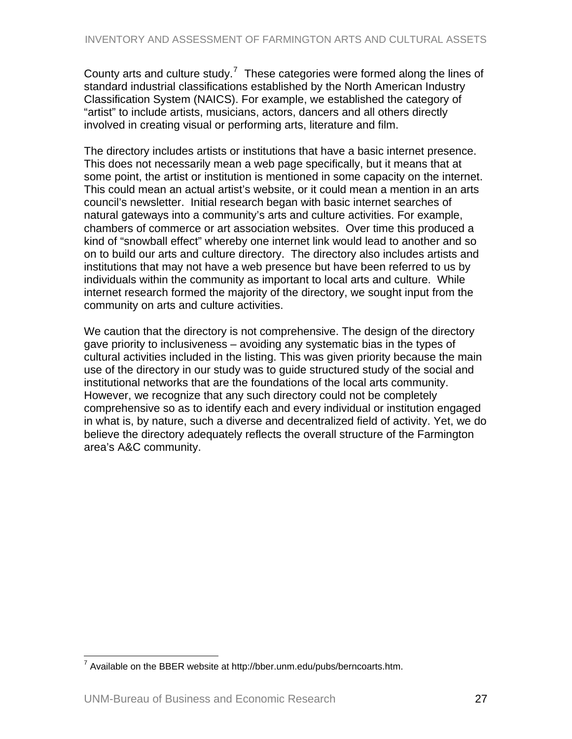<span id="page-26-0"></span>County arts and culture study.<sup>[7](#page-26-0)</sup> These categories were formed along the lines of standard industrial classifications established by the North American Industry Classification System (NAICS). For example, we established the category of "artist" to include artists, musicians, actors, dancers and all others directly involved in creating visual or performing arts, literature and film.

The directory includes artists or institutions that have a basic internet presence. This does not necessarily mean a web page specifically, but it means that at some point, the artist or institution is mentioned in some capacity on the internet. This could mean an actual artist's website, or it could mean a mention in an arts council's newsletter. Initial research began with basic internet searches of natural gateways into a community's arts and culture activities. For example, chambers of commerce or art association websites. Over time this produced a kind of "snowball effect" whereby one internet link would lead to another and so on to build our arts and culture directory. The directory also includes artists and institutions that may not have a web presence but have been referred to us by individuals within the community as important to local arts and culture. While internet research formed the majority of the directory, we sought input from the community on arts and culture activities.

We caution that the directory is not comprehensive. The design of the directory gave priority to inclusiveness – avoiding any systematic bias in the types of cultural activities included in the listing. This was given priority because the main use of the directory in our study was to guide structured study of the social and institutional networks that are the foundations of the local arts community. However, we recognize that any such directory could not be completely comprehensive so as to identify each and every individual or institution engaged in what is, by nature, such a diverse and decentralized field of activity. Yet, we do believe the directory adequately reflects the overall structure of the Farmington area's A&C community.

 $\overline{a}$  $^7$  Available on the BBER website at http://bber.unm.edu/pubs/berncoarts.htm.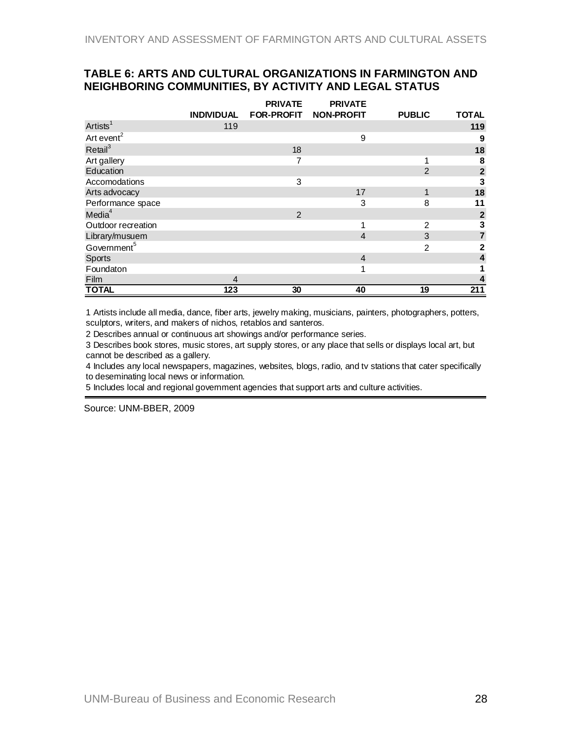#### <span id="page-27-0"></span>**TABLE 6: ARTS AND CULTURAL ORGANIZATIONS IN FARMINGTON AND NEIGHBORING COMMUNITIES, BY ACTIVITY AND LEGAL STATUS**

|                         |                   | <b>PRIVATE</b>        | <b>PRIVATE</b> |                |                         |
|-------------------------|-------------------|-----------------------|----------------|----------------|-------------------------|
|                         | <b>INDIVIDUAL</b> | FOR-PROFIT NON-PROFIT |                | <b>PUBLIC</b>  | <b>TOTAL</b>            |
| Artists <sup>1</sup>    | 119               |                       |                |                | 119                     |
| Art event <sup>2</sup>  |                   |                       | 9              |                | 9                       |
| Re <sup>3</sup>         |                   | 18                    |                |                | 18                      |
| Art gallery             |                   | 7                     |                |                | 8                       |
| Education               |                   |                       |                | $\overline{2}$ | $\overline{\mathbf{2}}$ |
| Accomodations           |                   | 3                     |                |                | 3                       |
| Arts advocacy           |                   |                       | 17             | 1              | 18                      |
| Performance space       |                   |                       | 3              | 8              | 11                      |
| Media <sup>4</sup>      |                   | 2                     |                |                | $\mathbf{2}$            |
| Outdoor recreation      |                   |                       | 1              | 2              | $\frac{3}{7}$           |
| Library/musuem          |                   |                       | $\overline{4}$ | 3              |                         |
| Government <sup>5</sup> |                   |                       |                | $\mathcal{P}$  | $\mathbf{2}$            |
| <b>Sports</b>           |                   |                       | $\overline{4}$ |                | 4                       |
| Foundaton               |                   |                       | 1              |                |                         |
| Film                    | 4                 |                       |                |                |                         |
| <b>TOTAL</b>            | 123               | 30                    | 40             | 19             | 211                     |

1 Artists include all media, dance, fiber arts, jewelry making, musicians, painters, photographers, potters, sculptors, writers, and makers of nichos, retablos and santeros.

2 Describes annual or continuous art showings and/or performance series.

3 Describes book stores, music stores, art supply stores, or any place that sells or displays local art, but cannot be described as a gallery.

4 Includes any local newspapers, magazines, websites, blogs, radio, and tv stations that cater specifically to deseminating local news or information.

5 Includes local and regional government agencies that support arts and culture activities.

Source: UNM-BBER, 2009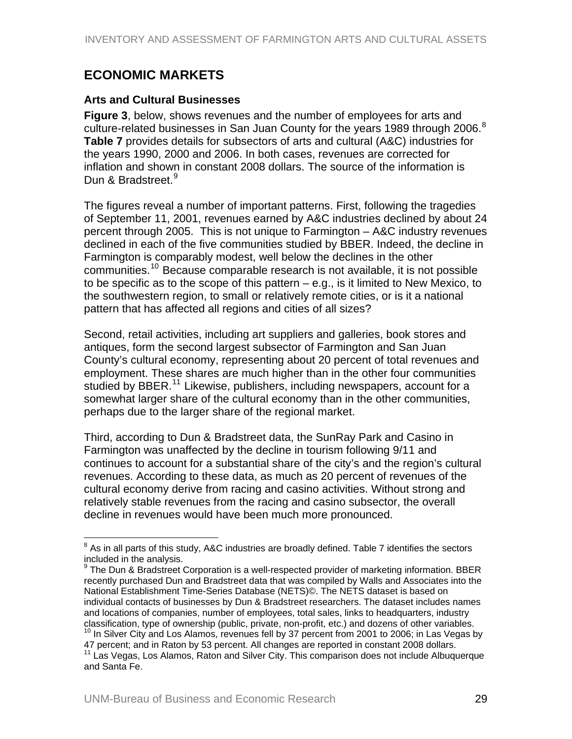# <span id="page-28-0"></span>**ECONOMIC MARKETS**

#### **Arts and Cultural Businesses**

**Figure 3**, below, shows revenues and the number of employees for arts and culture-related businesses in San Juan County for the years 19[8](#page-28-0)9 through 2006.<sup>8</sup> **Table 7** provides details for subsectors of arts and cultural (A&C) industries for the years 1990, 2000 and 2006. In both cases, revenues are corrected for inflation and shown in constant 2008 dollars. The source of the information is Dun & Bradstreet.<sup>[9](#page-28-0)</sup>

The figures reveal a number of important patterns. First, following the tragedies of September 11, 2001, revenues earned by A&C industries declined by about 24 percent through 2005. This is not unique to Farmington – A&C industry revenues declined in each of the five communities studied by BBER. Indeed, the decline in Farmington is comparably modest, well below the declines in the other communities.<sup>[10](#page-28-0)</sup> Because comparable research is not available, it is not possible to be specific as to the scope of this pattern – e.g., is it limited to New Mexico, to the southwestern region, to small or relatively remote cities, or is it a national pattern that has affected all regions and cities of all sizes?

Second, retail activities, including art suppliers and galleries, book stores and antiques, form the second largest subsector of Farmington and San Juan County's cultural economy, representing about 20 percent of total revenues and employment. These shares are much higher than in the other four communities studied by BBER.<sup>[11](#page-28-0)</sup> Likewise, publishers, including newspapers, account for a somewhat larger share of the cultural economy than in the other communities, perhaps due to the larger share of the regional market.

Third, according to Dun & Bradstreet data, the SunRay Park and Casino in Farmington was unaffected by the decline in tourism following 9/11 and continues to account for a substantial share of the city's and the region's cultural revenues. According to these data, as much as 20 percent of revenues of the cultural economy derive from racing and casino activities. Without strong and relatively stable revenues from the racing and casino subsector, the overall decline in revenues would have been much more pronounced.

 $\overline{a}$ 

 $^8$  As in all parts of this study, A&C industries are broadly defined. Table 7 identifies the sectors included in the analysis.

<sup>9</sup> The Dun & Bradstreet Corporation is a well-respected provider of marketing information. BBER recently purchased Dun and Bradstreet data that was compiled by Walls and Associates into the National Establishment Time-Series Database (NETS)©. The NETS dataset is based on individual contacts of businesses by Dun & Bradstreet researchers. The dataset includes names and locations of companies, number of employees, total sales, links to headquarters, industry classification, type of ownership (public, private, non-profit, etc.) and dozens of other variables.<br><sup>10</sup> In Silver City and Los Alamos, revenues fell by 37 percent from 2001 to 2006; in Las Vegas by

<sup>47</sup> percent; and in Raton by 53 percent. All changes are reported in constant 2008 dollars.

<sup>&</sup>lt;sup>11</sup> Las Vegas, Los Alamos, Raton and Silver City. This comparison does not include Albuquerque and Santa Fe.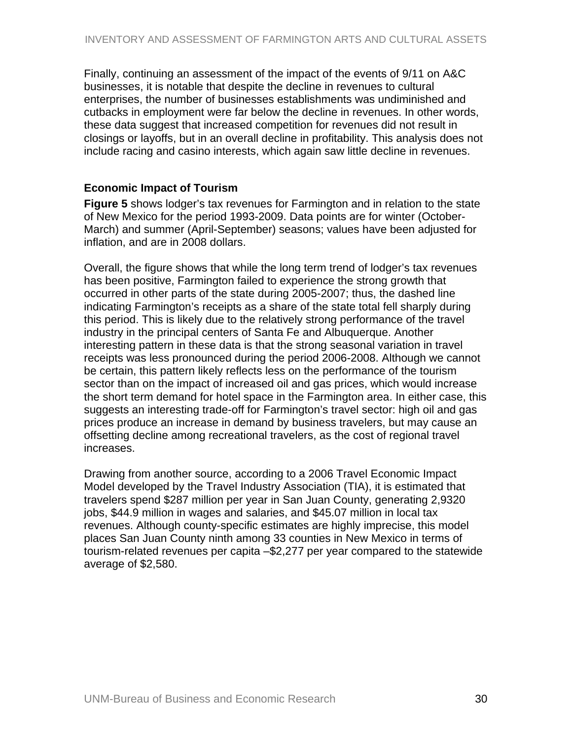<span id="page-29-0"></span>Finally, continuing an assessment of the impact of the events of 9/11 on A&C businesses, it is notable that despite the decline in revenues to cultural enterprises, the number of businesses establishments was undiminished and cutbacks in employment were far below the decline in revenues. In other words, these data suggest that increased competition for revenues did not result in closings or layoffs, but in an overall decline in profitability. This analysis does not include racing and casino interests, which again saw little decline in revenues.

#### **Economic Impact of Tourism**

**Figure 5** shows lodger's tax revenues for Farmington and in relation to the state of New Mexico for the period 1993-2009. Data points are for winter (October-March) and summer (April-September) seasons; values have been adjusted for inflation, and are in 2008 dollars.

Overall, the figure shows that while the long term trend of lodger's tax revenues has been positive, Farmington failed to experience the strong growth that occurred in other parts of the state during 2005-2007; thus, the dashed line indicating Farmington's receipts as a share of the state total fell sharply during this period. This is likely due to the relatively strong performance of the travel industry in the principal centers of Santa Fe and Albuquerque. Another interesting pattern in these data is that the strong seasonal variation in travel receipts was less pronounced during the period 2006-2008. Although we cannot be certain, this pattern likely reflects less on the performance of the tourism sector than on the impact of increased oil and gas prices, which would increase the short term demand for hotel space in the Farmington area. In either case, this suggests an interesting trade-off for Farmington's travel sector: high oil and gas prices produce an increase in demand by business travelers, but may cause an offsetting decline among recreational travelers, as the cost of regional travel increases.

Drawing from another source, according to a 2006 Travel Economic Impact Model developed by the Travel Industry Association (TIA), it is estimated that travelers spend \$287 million per year in San Juan County, generating 2,9320 jobs, \$44.9 million in wages and salaries, and \$45.07 million in local tax revenues. Although county-specific estimates are highly imprecise, this model places San Juan County ninth among 33 counties in New Mexico in terms of tourism-related revenues per capita –\$2,277 per year compared to the statewide average of \$2,580.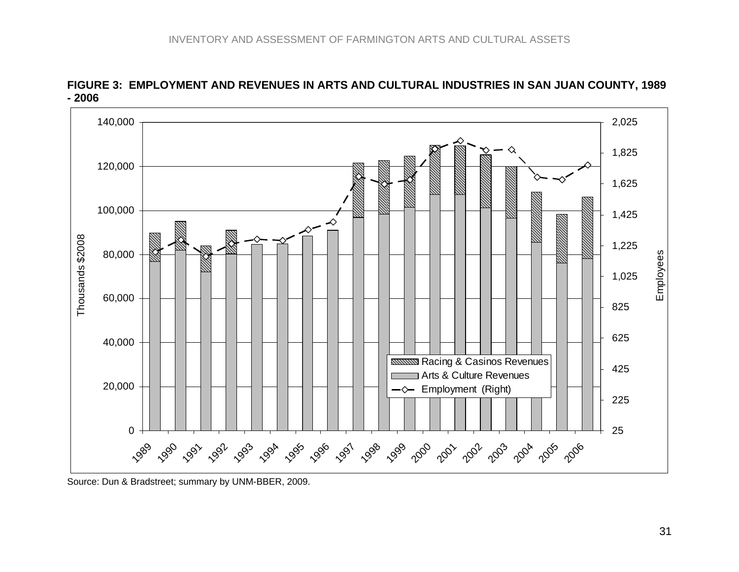

**FIGURE 3: EMPLOYMENT AND REVENUES IN ARTS AND CULTURAL INDUSTRIES IN SAN JUAN COUNTY, 1989 - 2006** 

<span id="page-30-0"></span>Source: Dun & Bradstreet; summary by UNM-BBER, 2009.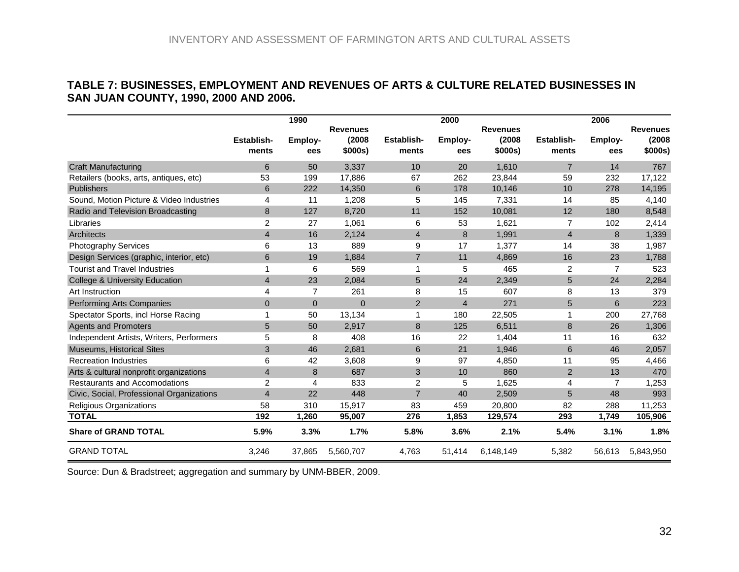#### **TABLE 7: BUSINESSES, EMPLOYMENT AND REVENUES OF ARTS & CULTURE RELATED BUSINESSES IN SAN JUAN COUNTY, 1990, 2000 AND 2006.**

|                                           |                            | 1990           |                  |                     | 2000           |                   |                     | 2006           |                   |
|-------------------------------------------|----------------------------|----------------|------------------|---------------------|----------------|-------------------|---------------------|----------------|-------------------|
|                                           |                            |                | <b>Revenues</b>  |                     |                | <b>Revenues</b>   |                     |                | <b>Revenues</b>   |
|                                           | <b>Establish-</b><br>ments | Employ-<br>ees | (2008<br>\$000s) | Establish-<br>ments | Employ-<br>ees | (2008)<br>\$000s) | Establish-<br>ments | Employ-<br>ees | (2008)<br>\$000s) |
| <b>Craft Manufacturing</b>                | 6                          | 50             | 3,337            | 10                  | 20             | 1,610             | $\overline{7}$      | 14             | 767               |
| Retailers (books, arts, antiques, etc)    | 53                         | 199            | 17,886           | 67                  | 262            | 23,844            | 59                  | 232            | 17,122            |
| Publishers                                | 6                          | 222            | 14,350           | 6                   | 178            | 10,146            | 10                  | 278            | 14,195            |
| Sound. Motion Picture & Video Industries  | 4                          | 11             | 1,208            | 5                   | 145            | 7,331             | 14                  | 85             | 4,140             |
| Radio and Television Broadcasting         | 8                          | 127            | 8,720            | 11                  | 152            | 10,081            | 12                  | 180            | 8,548             |
| Libraries                                 | 2                          | 27             | 1,061            | 6                   | 53             | 1,621             | $\overline{7}$      | 102            | 2,414             |
| <b>Architects</b>                         | $\overline{4}$             | 16             | 2,124            | $\overline{4}$      | 8              | 1,991             | $\overline{4}$      | 8              | 1,339             |
| <b>Photography Services</b>               | 6                          | 13             | 889              | 9                   | 17             | 1,377             | 14                  | 38             | 1,987             |
| Design Services (graphic, interior, etc)  | 6                          | 19             | 1,884            | $\overline{7}$      | 11             | 4,869             | 16                  | 23             | 1,788             |
| <b>Tourist and Travel Industries</b>      | 1                          | 6              | 569              | 1                   | 5              | 465               | $\overline{2}$      | $\overline{7}$ | 523               |
| <b>College &amp; University Education</b> | $\overline{4}$             | 23             | 2,084            | 5                   | 24             | 2,349             | 5                   | 24             | 2,284             |
| Art Instruction                           | 4                          | $\overline{7}$ | 261              | 8                   | 15             | 607               | 8                   | 13             | 379               |
| <b>Performing Arts Companies</b>          | $\Omega$                   | $\Omega$       | $\Omega$         | $\overline{2}$      | $\overline{4}$ | 271               | 5                   | 6              | 223               |
| Spectator Sports, incl Horse Racing       |                            | 50             | 13,134           |                     | 180            | 22,505            | 1                   | 200            | 27,768            |
| <b>Agents and Promoters</b>               | 5                          | 50             | 2,917            | 8                   | 125            | 6,511             | 8                   | 26             | 1,306             |
| Independent Artists, Writers, Performers  | 5                          | 8              | 408              | 16                  | 22             | 1,404             | 11                  | 16             | 632               |
| <b>Museums, Historical Sites</b>          | 3                          | 46             | 2,681            | 6                   | 21             | 1.946             | 6                   | 46             | 2,057             |
| <b>Recreation Industries</b>              | 6                          | 42             | 3,608            | 9                   | 97             | 4,850             | 11                  | 95             | 4,466             |
| Arts & cultural nonprofit organizations   | $\overline{4}$             | 8              | 687              | 3                   | 10             | 860               | 2                   | 13             | 470               |
| <b>Restaurants and Accomodations</b>      | 2                          | 4              | 833              | 2                   | 5              | 1,625             | 4                   | $\overline{7}$ | 1,253             |
| Civic, Social, Professional Organizations | $\overline{4}$             | 22             | 448              | $\overline{7}$      | 40             | 2,509             | 5                   | 48             | 993               |
| Religious Organizations                   | 58                         | 310            | 15,917           | 83                  | 459            | 20,800            | 82                  | 288            | 11,253            |
| <b>TOTAL</b>                              | 192                        | 1,260          | 95,007           | 276                 | 1,853          | 129,574           | 293                 | 1,749          | 105,906           |
| <b>Share of GRAND TOTAL</b>               | 5.9%                       | 3.3%           | 1.7%             | 5.8%                | 3.6%           | 2.1%              | 5.4%                | 3.1%           | 1.8%              |
| <b>GRAND TOTAL</b>                        | 3,246                      | 37,865         | 5,560,707        | 4,763               | 51,414         | 6,148,149         | 5,382               | 56,613         | 5,843,950         |

<span id="page-31-0"></span>Source: Dun & Bradstreet; aggregation and summary by UNM-BBER, 2009.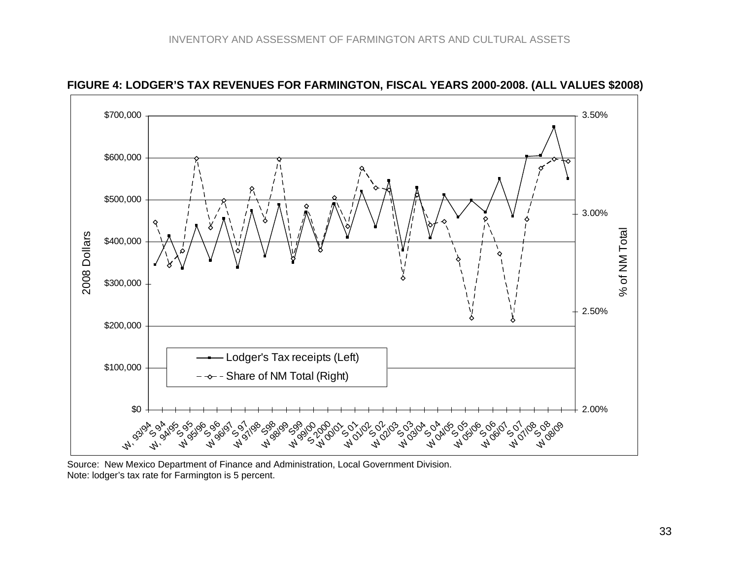

**FIGURE 4: LODGER'S TAX REVENUES FOR FARMINGTON, FISCAL YEARS 2000-2008. (ALL VALUES \$2008)** 

<span id="page-32-0"></span>Source: New Mexico Department of Finance and Administration, Local Government Division. Note: lodger's tax rate for Farmington is 5 percent.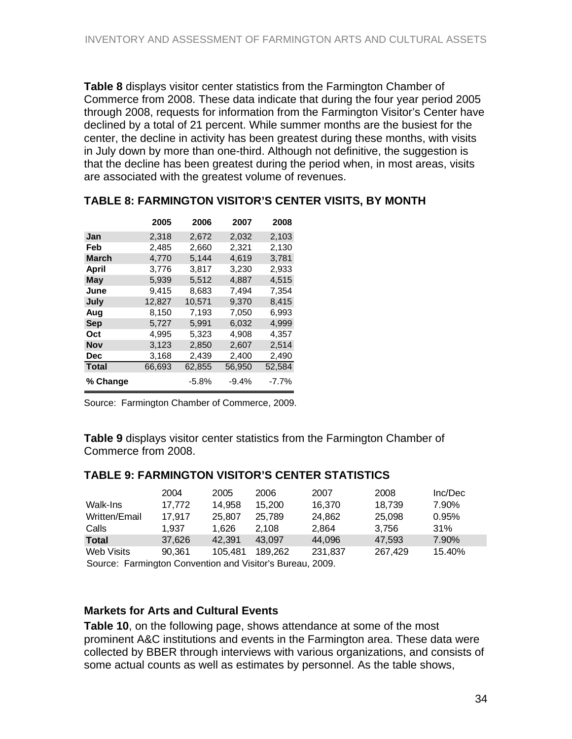<span id="page-33-0"></span>**Table 8** displays visitor center statistics from the Farmington Chamber of Commerce from 2008. These data indicate that during the four year period 2005 through 2008, requests for information from the Farmington Visitor's Center have declined by a total of 21 percent. While summer months are the busiest for the center, the decline in activity has been greatest during these months, with visits in July down by more than one-third. Although not definitive, the suggestion is that the decline has been greatest during the period when, in most areas, visits are associated with the greatest volume of revenues.

|              | 2005   | 2006     | 2007    | 2008     |
|--------------|--------|----------|---------|----------|
| Jan          | 2.318  | 2,672    | 2,032   | 2,103    |
| Feb          | 2,485  | 2,660    | 2,321   | 2,130    |
| <b>March</b> | 4,770  | 5.144    | 4.619   | 3.781    |
| April        | 3,776  | 3,817    | 3,230   | 2,933    |
| May          | 5,939  | 5,512    | 4,887   | 4,515    |
| June         | 9.415  | 8.683    | 7.494   | 7,354    |
| July         | 12,827 | 10,571   | 9,370   | 8,415    |
| Aug          | 8,150  | 7,193    | 7,050   | 6,993    |
| Sep          | 5,727  | 5.991    | 6.032   | 4.999    |
| Oct          | 4,995  | 5,323    | 4,908   | 4,357    |
| Nov          | 3,123  | 2,850    | 2,607   | 2,514    |
| Dec          | 3,168  | 2,439    | 2,400   | 2,490    |
| <b>Total</b> | 66,693 | 62,855   | 56,950  | 52,584   |
| % Change     |        | $-5.8\%$ | $-9.4%$ | $-7.7\%$ |

#### **TABLE 8: FARMINGTON VISITOR'S CENTER VISITS, BY MONTH**

Source: Farmington Chamber of Commerce, 2009.

**Table 9** displays visitor center statistics from the Farmington Chamber of Commerce from 2008.

#### **TABLE 9: FARMINGTON VISITOR'S CENTER STATISTICS**

|                   | 2004   | 2005    | 2006    | 2007    | 2008    | Inc/Dec |  |
|-------------------|--------|---------|---------|---------|---------|---------|--|
| Walk-Ins          | 17.772 | 14,958  | 15.200  | 16.370  | 18.739  | 7.90%   |  |
| Written/Email     | 17.917 | 25,807  | 25.789  | 24.862  | 25,098  | 0.95%   |  |
| Calls             | 1.937  | 1.626   | 2.108   | 2.864   | 3.756   | 31%     |  |
| <b>Total</b>      | 37.626 | 42.391  | 43.097  | 44.096  | 47.593  | 7.90%   |  |
| <b>Web Visits</b> | 90.361 | 105.481 | 189.262 | 231,837 | 267.429 | 15.40%  |  |
|                   |        |         |         | ----    |         |         |  |

Source: Farmington Convention and Visitor's Bureau, 2009.

#### **Markets for Arts and Cultural Events**

**Table 10**, on the following page, shows attendance at some of the most prominent A&C institutions and events in the Farmington area. These data were collected by BBER through interviews with various organizations, and consists of some actual counts as well as estimates by personnel. As the table shows,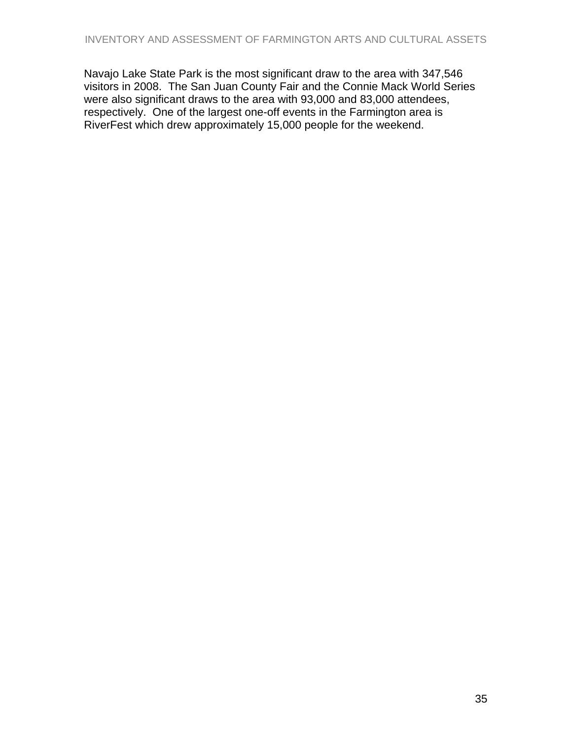Navajo Lake State Park is the most significant draw to the area with 347,546 visitors in 2008. The San Juan County Fair and the Connie Mack World Series were also significant draws to the area with 93,000 and 83,000 attendees, respectively. One of the largest one-off events in the Farmington area is RiverFest which drew approximately 15,000 people for the weekend.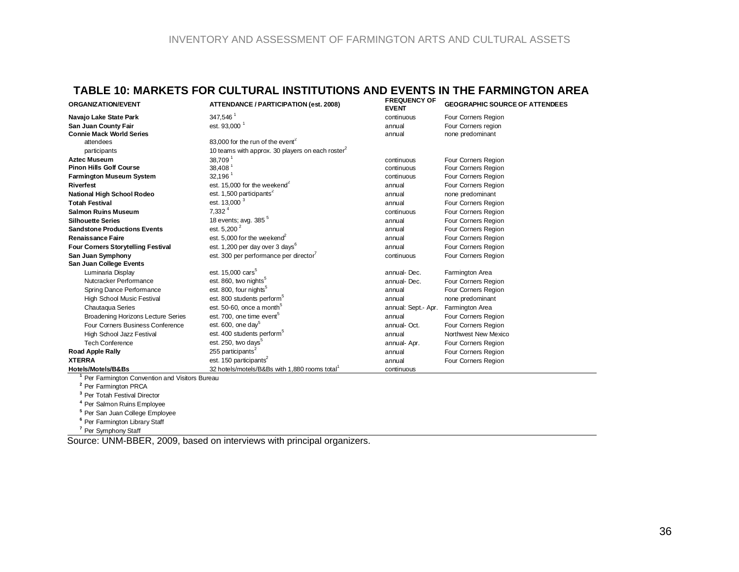#### **TABLE 10: MARKETS FOR CULTURAL INSTITUTIONS AND EVENTS IN THE FARMINGTON AREA**

| <b>ORGANIZATION/EVENT</b>                 | ATTENDANCE / PARTICIPATION (est. 2008)                    | <b>FREQUENCY OF</b><br><b>EVENT</b> | <b>GEOGRAPHIC SOURCE OF ATTENDEES</b> |
|-------------------------------------------|-----------------------------------------------------------|-------------------------------------|---------------------------------------|
| Navajo Lake State Park                    | 347,546 <sup>1</sup>                                      | continuous                          | Four Corners Region                   |
| San Juan County Fair                      | est. 93,000 <sup>1</sup>                                  | annual                              | Four Corners region                   |
| <b>Connie Mack World Series</b>           |                                                           | annual                              | none predominant                      |
| attendees                                 | 83.000 for the run of the event <sup>2</sup>              |                                     |                                       |
| participants                              | 10 teams with approx. 30 players on each roster           |                                     |                                       |
| <b>Aztec Museum</b>                       | 38,709                                                    | continuous                          | Four Corners Region                   |
| <b>Pinon Hills Golf Course</b>            | 38,408                                                    | continuous                          | Four Corners Region                   |
| <b>Farmington Museum System</b>           | $32,196$ <sup>1</sup>                                     | continuous                          | Four Corners Region                   |
| <b>Riverfest</b>                          | est. 15,000 for the weekend <sup>2</sup>                  | annual                              | Four Corners Region                   |
| National High School Rodeo                | est. 1,500 participants <sup>2</sup>                      | annual                              | none predominant                      |
| <b>Totah Festival</b>                     | est. 13,000 <sup>3</sup>                                  | annual                              | Four Corners Region                   |
| <b>Salmon Ruins Museum</b>                | $7,332^{4}$                                               | continuous                          | Four Corners Region                   |
| <b>Silhouette Series</b>                  | 18 events; avg. 385 <sup>5</sup>                          | annual                              | Four Corners Region                   |
| <b>Sandstone Productions Events</b>       | est. $5,200^2$                                            | annual                              | Four Corners Region                   |
| <b>Renaissance Faire</b>                  | est. 5,000 for the weekend <sup>2</sup>                   | annual                              | Four Corners Region                   |
| Four Corners Storytelling Festival        | est. 1,200 per day over 3 days <sup>6</sup>               | annual                              | Four Corners Region                   |
| San Juan Symphony                         | est. 300 per performance per director                     | continuous                          | Four Corners Region                   |
| San Juan College Events                   |                                                           |                                     |                                       |
| Luminaria Display                         | est. 15,000 cars <sup>5</sup>                             | annual-Dec.                         | Farmington Area                       |
| Nutcracker Performance                    | est. 860, two nights <sup>5</sup>                         | annual-Dec.                         | Four Corners Region                   |
| Spring Dance Performance                  | est. 800, four nights <sup>5</sup>                        | annual                              | Four Corners Region                   |
| High School Music Festival                | est. 800 students perform <sup>3</sup>                    | annual                              | none predominant                      |
| Chautaqua Series                          | est. 50-60, once a month <sup>5</sup>                     | annual: Sept.- Apr.                 | Farmington Area                       |
| <b>Broadening Horizons Lecture Series</b> | est. 700, one time event <sup>5</sup>                     | annual                              | Four Corners Region                   |
| Four Corners Business Conference          | est. $600$ , one day <sup>5</sup>                         | annual-Oct.                         | Four Corners Region                   |
| High School Jazz Festival                 | est. 400 students perform <sup>3</sup>                    | annual                              | Northwest New Mexico                  |
| <b>Tech Conference</b>                    | est. 250, two days <sup>3</sup>                           | annual- Apr.                        | Four Corners Region                   |
| <b>Road Apple Rally</b>                   | 255 participants <sup>2</sup>                             | annual                              | Four Corners Region                   |
| <b>XTERRA</b>                             | est. 150 participants <sup>2</sup>                        | annual                              | Four Corners Region                   |
| Hotels/Motels/B&Bs                        | 32 hotels/motels/B&Bs with 1,880 rooms total <sup>1</sup> | continuous                          |                                       |

**1** Per Farmington Convention and Visitors Bureau

- **2** Per Farmington PRCA
- **3** Per Totah Festival Director
- **4** Per Salmon Ruins Employee
- **5** Per San Juan College Employee
- **6** Per Farmington Library Staff
- **7** Per Symphony Staff

<span id="page-35-0"></span>Source: UNM-BBER, 2009, based on interviews with principal organizers.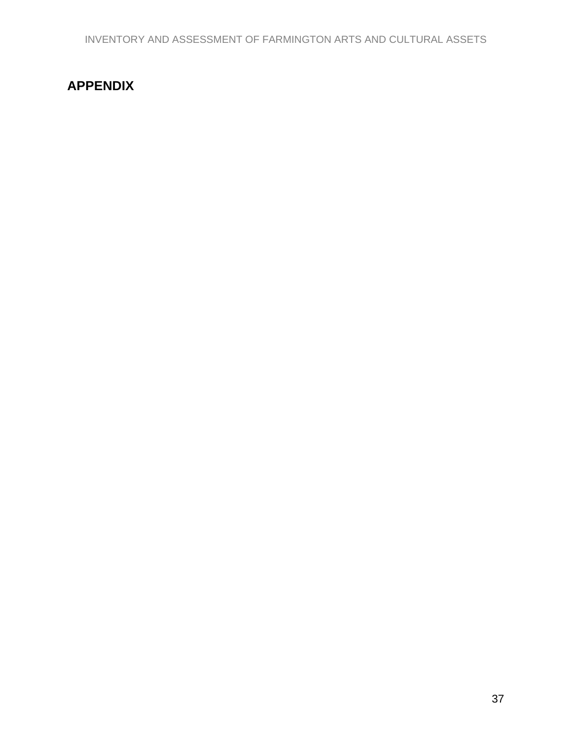# <span id="page-36-0"></span>**APPENDIX**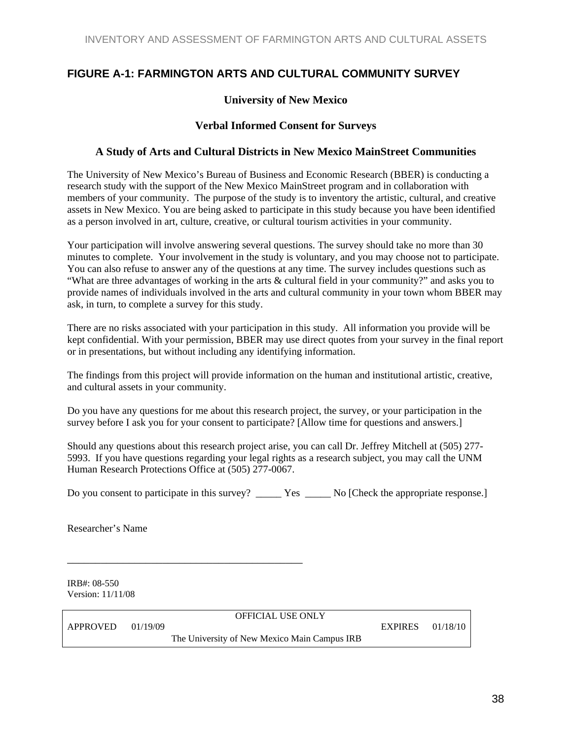#### <span id="page-37-0"></span>**FIGURE A-1: FARMINGTON ARTS AND CULTURAL COMMUNITY SURVEY**

#### **University of New Mexico**

#### **Verbal Informed Consent for Surveys**

#### **A Study of Arts and Cultural Districts in New Mexico MainStreet Communities**

The University of New Mexico's Bureau of Business and Economic Research (BBER) is conducting a research study with the support of the New Mexico MainStreet program and in collaboration with members of your community. The purpose of the study is to inventory the artistic, cultural, and creative assets in New Mexico. You are being asked to participate in this study because you have been identified as a person involved in art, culture, creative, or cultural tourism activities in your community.

Your participation will involve answering several questions. The survey should take no more than 30 minutes to complete. Your involvement in the study is voluntary, and you may choose not to participate. You can also refuse to answer any of the questions at any time. The survey includes questions such as "What are three advantages of working in the arts & cultural field in your community?" and asks you to provide names of individuals involved in the arts and cultural community in your town whom BBER may ask, in turn, to complete a survey for this study.

There are no risks associated with your participation in this study. All information you provide will be kept confidential. With your permission, BBER may use direct quotes from your survey in the final report or in presentations, but without including any identifying information.

The findings from this project will provide information on the human and institutional artistic, creative, and cultural assets in your community.

Do you have any questions for me about this research project, the survey, or your participation in the survey before I ask you for your consent to participate? [Allow time for questions and answers.]

Should any questions about this research project arise, you can call Dr. Jeffrey Mitchell at (505) 277- 5993. If you have questions regarding your legal rights as a research subject, you may call the UNM Human Research Protections Office at (505) 277-0067.

Do you consent to participate in this survey? \_\_\_\_\_\_\_ Yes \_\_\_\_\_\_ No [Check the appropriate response.]

Researcher's Name

IRB#: 08-550 Version: 11/11/08

APPROVED 01/19/09 EXPIRES 01/18/10

\_\_\_\_\_\_\_\_\_\_\_\_\_\_\_\_\_\_\_\_\_\_\_\_\_\_\_\_\_\_\_\_\_\_\_\_\_\_\_\_\_\_

OFFICIAL USE ONLY

The University of New Mexico Main Campus IRB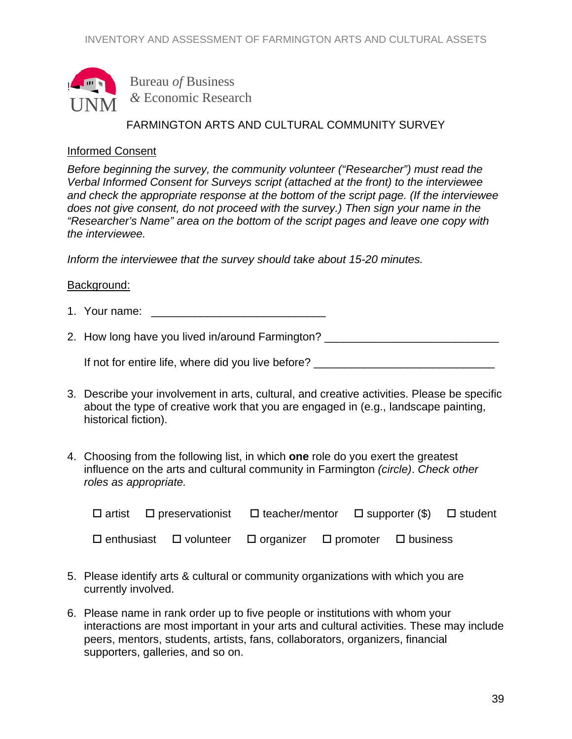

Bureau *of* Business *&* Economic Research

#### FARMINGTON ARTS AND CULTURAL COMMUNITY SURVEY

#### Informed Consent

*Before beginning the survey, the community volunteer ("Researcher") must read the Verbal Informed Consent for Surveys script (attached at the front) to the interviewee and check the appropriate response at the bottom of the script page. (If the interviewee does not give consent, do not proceed with the survey.) Then sign your name in the "Researcher's Name" area on the bottom of the script pages and leave one copy with the interviewee.* 

*Inform the interviewee that the survey should take about 15-20 minutes.*

#### Background:

- 1. Your name:  $\blacksquare$
- 2. How long have you lived in/around Farmington? \_\_\_\_\_\_\_\_\_\_\_\_\_\_\_\_\_\_\_\_\_\_\_\_\_\_\_\_\_\_\_

If not for entire life, where did you live before? \_\_\_\_\_\_\_\_\_\_\_\_\_\_\_\_\_\_\_\_\_\_\_\_\_\_\_\_\_

- 3. Describe your involvement in arts, cultural, and creative activities. Please be specific about the type of creative work that you are engaged in (e.g., landscape painting, historical fiction).
- 4. Choosing from the following list, in which **one** role do you exert the greatest influence on the arts and cultural community in Farmington *(circle)*. *Check other roles as appropriate.*

|  | $\Box$ artist $\Box$ preservationist $\Box$ teacher/mentor $\Box$ supporter (\$) $\Box$ student |  |  |
|--|-------------------------------------------------------------------------------------------------|--|--|
|  | $\Box$ enthusiast $\Box$ volunteer $\Box$ organizer $\Box$ promoter $\Box$ business             |  |  |

- 5. Please identify arts & cultural or community organizations with which you are currently involved.
- 6. Please name in rank order up to five people or institutions with whom your interactions are most important in your arts and cultural activities. These may include peers, mentors, students, artists, fans, collaborators, organizers, financial supporters, galleries, and so on.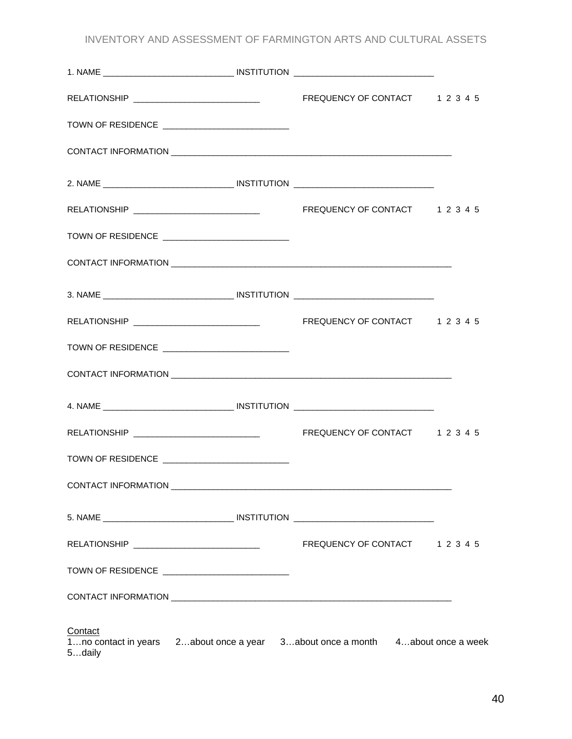INVENTORY AND ASSESSMENT OF FARMINGTON ARTS AND CULTURAL ASSETS

|         | TOWN OF RESIDENCE ____________________________   |                                                                                |  |
|---------|--------------------------------------------------|--------------------------------------------------------------------------------|--|
|         |                                                  |                                                                                |  |
|         |                                                  |                                                                                |  |
|         |                                                  |                                                                                |  |
|         | TOWN OF RESIDENCE ______________________________ |                                                                                |  |
|         |                                                  |                                                                                |  |
|         |                                                  |                                                                                |  |
|         |                                                  |                                                                                |  |
|         | TOWN OF RESIDENCE                                |                                                                                |  |
|         |                                                  |                                                                                |  |
|         |                                                  |                                                                                |  |
|         |                                                  |                                                                                |  |
|         | TOWN OF RESIDENCE _____________________________  |                                                                                |  |
|         |                                                  |                                                                                |  |
|         |                                                  |                                                                                |  |
|         | RELATIONSHIP ___________________________________ | FREQUENCY OF CONTACT 1 2 3 4 5                                                 |  |
|         | TOWN OF RESIDENCE ______________________________ |                                                                                |  |
|         |                                                  |                                                                                |  |
| Contact |                                                  | 1no contact in years 2about once a year 3about once a month 4about once a week |  |

5…daily